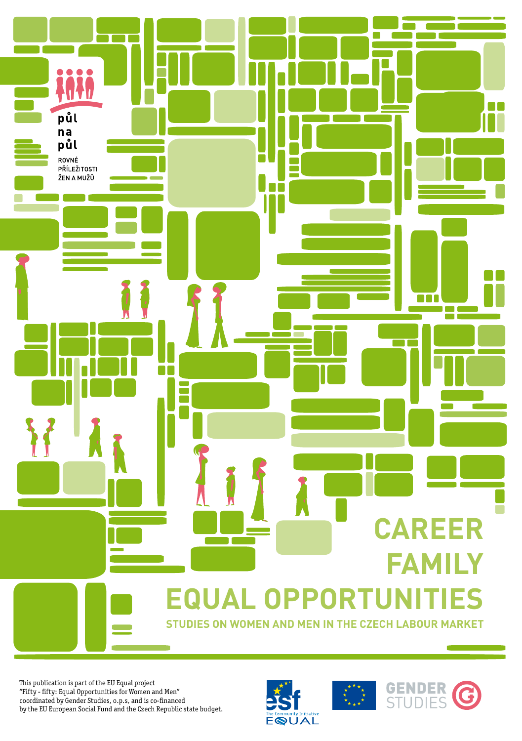# **Equal Opportunities**

**Studies on Women and Men in the Czech Labour Market**

This publication is part of the EU Equal project "Fifty - fifty: Equal Opportunities for Women and Men" coordinated by Gender Studies, o.p.s, and is co-financed by the EU European Social Fund and the Czech Republic state budget.

půl na půl ROVNÉ PŘÍLEŽITOSTI ŽEN A MUŽŮ



**The Contract State** 



**Career** 

80 O O

**Family**

n٨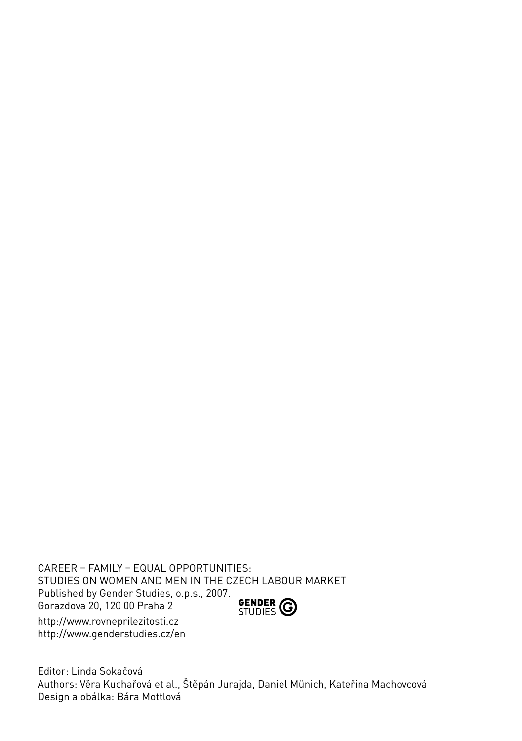Career – Family – Equal Opportunities: Studies on Women and Men in the Czech Labour Market Published by Gender Studies, o.p.s., 2007. **GENDER CO** Gorazdova 20, 120 00 Praha 2 http://www.rovneprilezitosti.cz

http://www.genderstudies.cz/en

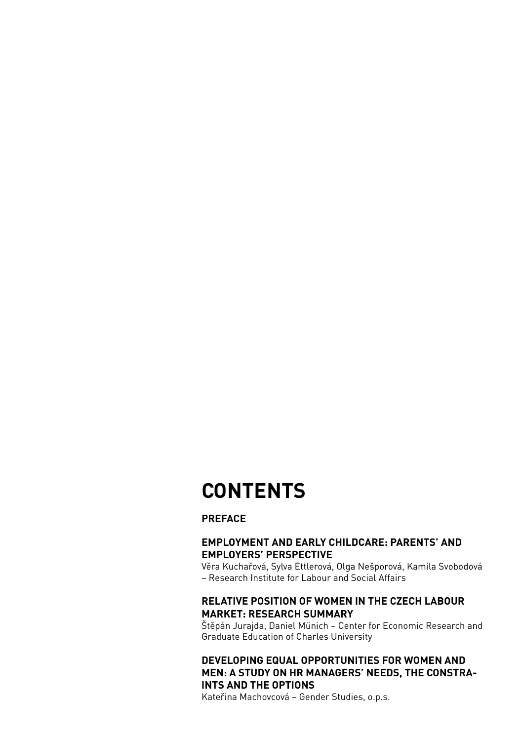## **CONTENTS**

#### **Preface**

#### **Employment and Early Childcare: Parents' and Employers' Perspective**

Věra Kuchařová, Sylva Ettlerová, Olga Nešporová, Kamila Svobodová – Research Institute for Labour and Social Affairs

#### **Relative Position of Women in the Czech Labour Market: Research Summary**

Štěpán Jurajda, Daniel Münich – Center for Economic Research and Graduate Education of Charles University

#### **Developing Equal Opportunities for Women and Men: A Study on HR Managers' Needs, the Constraints and the Options**

Kateřina Machovcová – Gender Studies, o.p.s.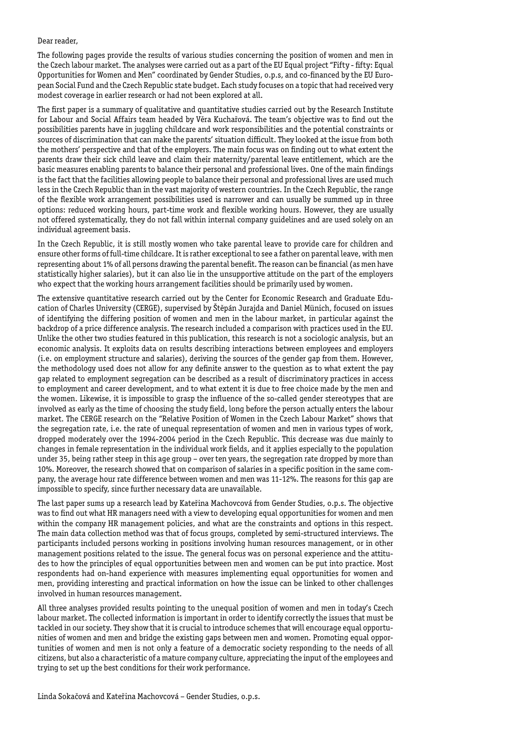#### Dear reader,

The following pages provide the results of various studies concerning the position of women and men in the Czech labour market. The analyses were carried out as a part of the EU Equal project "Fifty - fifty: Equal Opportunities for Women and Men" coordinated by Gender Studies, o.p.s, and co-financed by the EU European Social Fund and the Czech Republic state budget. Each study focuses on a topic that had received very modest coverage in earlier research or had not been explored at all.

The first paper is a summary of qualitative and quantitative studies carried out by the Research Institute for Labour and Social Affairs team headed by Věra Kuchařová. The team's objective was to find out the possibilities parents have in juggling childcare and work responsibilities and the potential constraints or sources of discrimination that can make the parents' situation difficult. They looked at the issue from both the mothers' perspective and that of the employers. The main focus was on finding out to what extent the parents draw their sick child leave and claim their maternity/parental leave entitlement, which are the basic measures enabling parents to balance their personal and professional lives. One of the main findings is the fact that the facilities allowing people to balance their personal and professional lives are used much less in the Czech Republic than in the vast majority of western countries. In the Czech Republic, the range of the flexible work arrangement possibilities used is narrower and can usually be summed up in three options: reduced working hours, part-time work and flexible working hours. However, they are usually not offered systematically, they do not fall within internal company guidelines and are used solely on an individual agreement basis.

In the Czech Republic, it is still mostly women who take parental leave to provide care for children and ensure other forms of full-time childcare. It is rather exceptional to see a father on parental leave, with men representing about 1% of all persons drawing the parental benefit. The reason can be financial (as men have statistically higher salaries), but it can also lie in the unsupportive attitude on the part of the employers who expect that the working hours arrangement facilities should be primarily used by women.

The extensive quantitative research carried out by the Center for Economic Research and Graduate Education of Charles University (CERGE), supervised by Štěpán Jurajda and Daniel Münich, focused on issues of identifying the differing position of women and men in the labour market, in particular against the backdrop of a price difference analysis. The research included a comparison with practices used in the EU. Unlike the other two studies featured in this publication, this research is not a sociologic analysis, but an economic analysis. It exploits data on results describing interactions between employees and employers (i.e. on employment structure and salaries), deriving the sources of the gender gap from them. However, the methodology used does not allow for any definite answer to the question as to what extent the pay gap related to employment segregation can be described as a result of discriminatory practices in access to employment and career development, and to what extent it is due to free choice made by the men and the women. Likewise, it is impossible to grasp the influence of the so-called gender stereotypes that are involved as early as the time of choosing the study field, long before the person actually enters the labour market. The CERGE research on the "Relative Position of Women in the Czech Labour Market" shows that the segregation rate, i.e. the rate of unequal representation of women and men in various types of work, dropped moderately over the 1994-2004 period in the Czech Republic. This decrease was due mainly to changes in female representation in the individual work fields, and it applies especially to the population under 35, being rather steep in this age group – over ten years, the segregation rate dropped by more than 10%. Moreover, the research showed that on comparison of salaries in a specific position in the same company, the average hour rate difference between women and men was 11-12%. The reasons for this gap are impossible to specify, since further necessary data are unavailable.

The last paper sums up a research lead by Kateřina Machovcová from Gender Studies, o.p.s. The objective was to find out what HR managers need with a view to developing equal opportunities for women and men within the company HR management policies, and what are the constraints and options in this respect. The main data collection method was that of focus groups, completed by semi-structured interviews. The participants included persons working in positions involving human resources management, or in other management positions related to the issue. The general focus was on personal experience and the attitudes to how the principles of equal opportunities between men and women can be put into practice. Most respondents had on-hand experience with measures implementing equal opportunities for women and men, providing interesting and practical information on how the issue can be linked to other challenges involved in human resources management.

All three analyses provided results pointing to the unequal position of women and men in today's Czech labour market. The collected information is important in order to identify correctly the issues that must be tackled in our society. They show that it is crucial to introduce schemes that will encourage equal opportunities of women and men and bridge the existing gaps between men and women. Promoting equal opportunities of women and men is not only a feature of a democratic society responding to the needs of all citizens, but also a characteristic of a mature company culture, appreciating the input of the employees and trying to set up the best conditions for their work performance.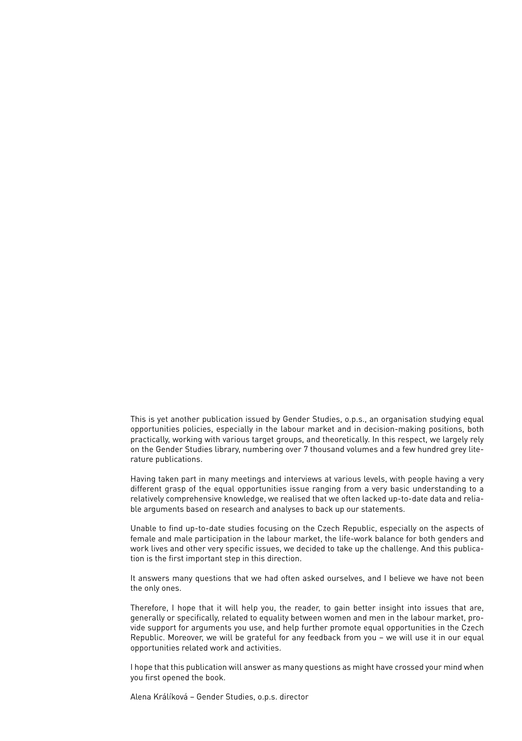This is yet another publication issued by Gender Studies, o.p.s., an organisation studying equal opportunities policies, especially in the labour market and in decision-making positions, both practically, working with various target groups, and theoretically. In this respect, we largely rely on the Gender Studies library, numbering over 7 thousand volumes and a few hundred grey literature publications.

Having taken part in many meetings and interviews at various levels, with people having a very different grasp of the equal opportunities issue ranging from a very basic understanding to a relatively comprehensive knowledge, we realised that we often lacked up-to-date data and reliable arguments based on research and analyses to back up our statements.

Unable to find up-to-date studies focusing on the Czech Republic, especially on the aspects of female and male participation in the labour market, the life-work balance for both genders and work lives and other very specific issues, we decided to take up the challenge. And this publication is the first important step in this direction.

It answers many questions that we had often asked ourselves, and I believe we have not been the only ones.

Therefore, I hope that it will help you, the reader, to gain better insight into issues that are, generally or specifically, related to equality between women and men in the labour market, provide support for arguments you use, and help further promote equal opportunities in the Czech Republic. Moreover, we will be grateful for any feedback from you – we will use it in our equal opportunities related work and activities.

I hope that this publication will answer as many questions as might have crossed your mind when you first opened the book.

Alena Králíková – Gender Studies, o.p.s. director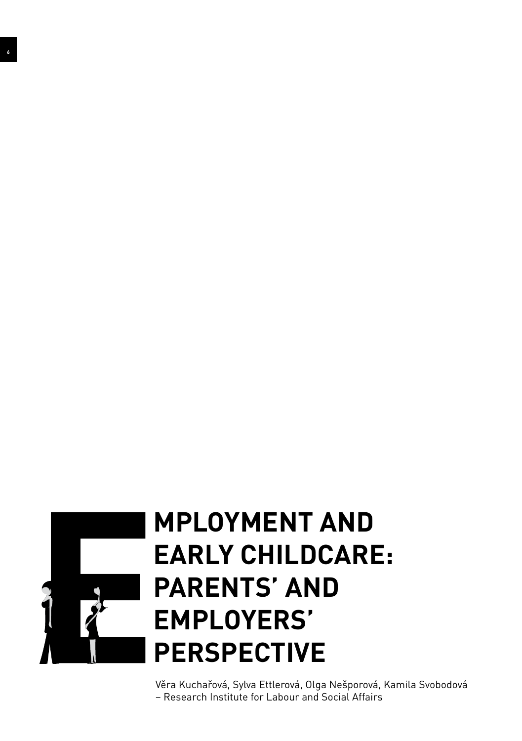

 $\overline{\phantom{a}}$ 

## **mployment and Early Childcare: Parents' and Employers' Perspective**

Věra Kuchařová, Sylva Ettlerová, Olga Nešporová, Kamila Svobodová – Research Institute for Labour and Social Affairs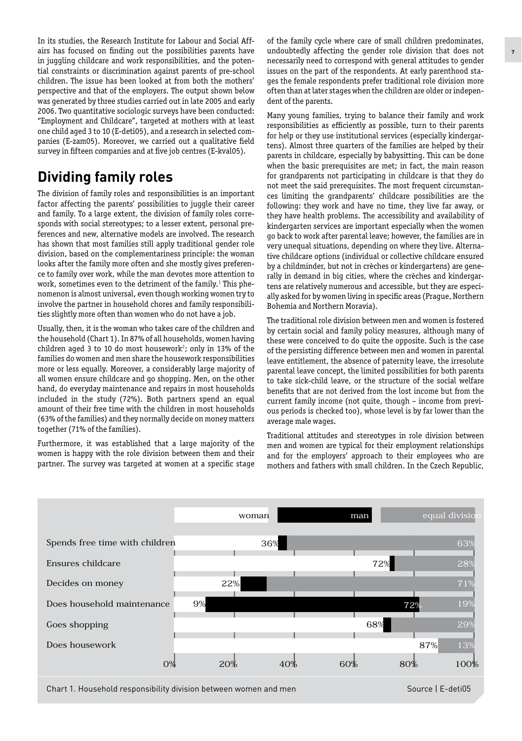In its studies, the Research Institute for Labour and Social Affairs has focused on finding out the possibilities parents have in juggling childcare and work responsibilities, and the potential constraints or discrimination against parents of pre-school children. The issue has been looked at from both the mothers' perspective and that of the employers. The output shown below was generated by three studies carried out in late 2005 and early 2006. Two quantitative sociologic surveys have been conducted: "Employment and Childcare", targeted at mothers with at least one child aged 3 to 10 (E-deti05), and a research in selected companies (E-zam05). Moreover, we carried out a qualitative field survey in fifteen companies and at five job centres (E-kval05).

## **Dividing family roles**

The division of family roles and responsibilities is an important factor affecting the parents' possibilities to juggle their career and family. To a large extent, the division of family roles corresponds with social stereotypes; to a lesser extent, personal preferences and new, alternative models are involved. The research has shown that most families still apply traditional gender role division, based on the complementariness principle: the woman looks after the family more often and she mostly gives preference to family over work, while the man devotes more attention to work, sometimes even to the detriment of the family.**<sup>1</sup>** This phenomenon is almost universal, even though working women try to involve the partner in household chores and family responsibilities slightly more often than women who do not have a job.

Usually, then, it is the woman who takes care of the children and the household (Chart 1). In 87% of all households, women having children aged 3 to 10 do most housework**<sup>2</sup>** ; only in 13% of the families do women and men share the housework responsibilities more or less equally. Moreover, a considerably large majority of all women ensure childcare and go shopping. Men, on the other hand, do everyday maintenance and repairs in most households included in the study (72%). Both partners spend an equal amount of their free time with the children in most households (63% of the families) and they normally decide on money matters together (71% of the families).

Furthermore, it was established that a large majority of the women is happy with the role division between them and their partner. The survey was targeted at women at a specific stage of the family cycle where care of small children predominates, undoubtedly affecting the gender role division that does not necessarily need to correspond with general attitudes to gender issues on the part of the respondents. At early parenthood stages the female respondents prefer traditional role division more often than at later stages when the children are older or independent of the parents.

Many young families, trying to balance their family and work responsibilities as efficiently as possible, turn to their parents for help or they use institutional services (especially kindergartens). Almost three quarters of the families are helped by their parents in childcare, especially by babysitting. This can be done when the basic prerequisites are met; in fact, the main reason for grandparents not participating in childcare is that they do not meet the said prerequisites. The most frequent circumstances limiting the grandparents' childcare possibilities are the following: they work and have no time, they live far away, or they have health problems. The accessibility and availability of kindergarten services are important especially when the women go back to work after parental leave; however, the families are in very unequal situations, depending on where they live. Alternative childcare options (individual or collective childcare ensured by a childminder, but not in crèches or kindergartens) are generally in demand in big cities, where the crèches and kindergartens are relatively numerous and accessible, but they are especially asked for by women living in specific areas (Prague, Northern Bohemia and Northern Moravia).

The traditional role division between men and women is fostered by certain social and family policy measures, although many of these were conceived to do quite the opposite. Such is the case of the persisting difference between men and women in parental leave entitlement, the absence of paternity leave, the irresolute parental leave concept, the limited possibilities for both parents to take sick-child leave, or the structure of the social welfare benefits that are not derived from the lost income but from the current family income (not quite, though – income from previous periods is checked too), whose level is by far lower than the average male wages.

Traditional attitudes and stereotypes in role division between men and women are typical for their employment relationships and for the employers' approach to their employees who are mothers and fathers with small children. In the Czech Republic,



Chart 1. Household responsibility division between women and men Source Source | E-deti05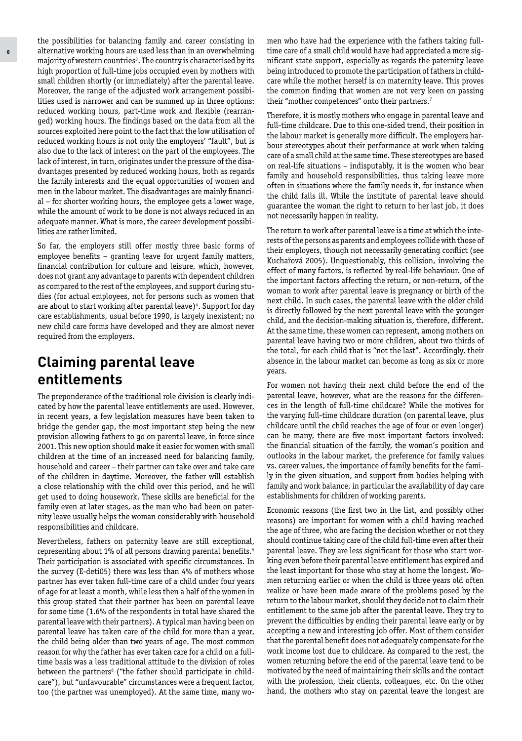the possibilities for balancing family and career consisting in alternative working hours are used less than in an overwhelming majority of western countries**<sup>3</sup>** . The country is characterised by its high proportion of full-time jobs occupied even by mothers with small children shortly (or immediately) after the parental leave. Moreover, the range of the adjusted work arrangement possibilities used is narrower and can be summed up in three options: reduced working hours, part-time work and flexible (rearranged) working hours. The findings based on the data from all the sources exploited here point to the fact that the low utilisation of reduced working hours is not only the employers' "fault", but is also due to the lack of interest on the part of the employees. The lack of interest, in turn, originates under the pressure of the disadvantages presented by reduced working hours, both as regards the family interests and the equal opportunities of women and men in the labour market. The disadvantages are mainly financial – for shorter working hours, the employee gets a lower wage, while the amount of work to be done is not always reduced in an adequate manner. What is more, the career development possibilities are rather limited.

So far, the employers still offer mostly three basic forms of employee benefits – granting leave for urgent family matters, financial contribution for culture and leisure, which, however, does not grant any advantage to parents with dependent children as compared to the rest of the employees, and support during studies (for actual employees, not for persons such as women that are about to start working after parental leave)**<sup>4</sup>** . Support for day care establishments, usual before 1990, is largely inexistent; no new child care forms have developed and they are almost never required from the employers.

## **Claiming parental leave entitlements**

The preponderance of the traditional role division is clearly indicated by how the parental leave entitlements are used. However, in recent years, a few legislation measures have been taken to bridge the gender gap, the most important step being the new provision allowing fathers to go on parental leave, in force since 2001. This new option should make it easier for women with small children at the time of an increased need for balancing family, household and career – their partner can take over and take care of the children in daytime. Moreover, the father will establish a close relationship with the child over this period, and he will get used to doing housework. These skills are beneficial for the family even at later stages, as the man who had been on paternity leave usually helps the woman considerably with household responsibilities and childcare.

Nevertheless, fathers on paternity leave are still exceptional, representing about 1% of all persons drawing parental benefits.**<sup>5</sup>** Their participation is associated with specific circumstances. In the survey (E-deti05) there was less than 4% of mothers whose partner has ever taken full-time care of a child under four years of age for at least a month, while less then a half of the women in this group stated that their partner has been on parental leave for some time (1.6% of the respondents in total have shared the parental leave with their partners). A typical man having been on parental leave has taken care of the child for more than a year, the child being older than two years of age. The most common reason for why the father has ever taken care for a child on a fulltime basis was a less traditional attitude to the division of roles between the partners**<sup>6</sup>** ("the father should participate in childcare"), but "unfavourable" circumstances were a frequent factor, too (the partner was unemployed). At the same time, many women who have had the experience with the fathers taking fulltime care of a small child would have had appreciated a more significant state support, especially as regards the paternity leave being introduced to promote the participation of fathers in childcare while the mother herself is on maternity leave. This proves the common finding that women are not very keen on passing their "mother competences" onto their partners.**<sup>7</sup>**

Therefore, it is mostly mothers who engage in parental leave and full-time childcare. Due to this one-sided trend, their position in the labour market is generally more difficult. The employers harbour stereotypes about their performance at work when taking care of a small child at the same time. These stereotypes are based on real-life situations – indisputably, it is the women who bear family and household responsibilities, thus taking leave more often in situations where the family needs it, for instance when the child falls ill. While the institute of parental leave should guarantee the woman the right to return to her last job, it does not necessarily happen in reality.

The return to work after parental leave is a time at which the interests of the persons as parents and employees collide with those of their employers, though not necessarily generating conflict (see Kuchařová 2005). Unquestionably, this collision, involving the effect of many factors, is reflected by real-life behaviour. One of the important factors affecting the return, or non-return, of the woman to work after parental leave is pregnancy or birth of the next child. In such cases, the parental leave with the older child is directly followed by the next parental leave with the younger child, and the decision-making situation is, therefore, different. At the same time, these women can represent, among mothers on parental leave having two or more children, about two thirds of the total, for each child that is "not the last". Accordingly, their absence in the labour market can become as long as six or more years.

For women not having their next child before the end of the parental leave, however, what are the reasons for the differences in the length of full-time childcare? While the motives for the varying full-time childcare duration (on parental leave, plus childcare until the child reaches the age of four or even longer) can be many, there are five most important factors involved: the financial situation of the family, the woman's position and outlooks in the labour market, the preference for family values vs. career values, the importance of family benefits for the family in the given situation, and support from bodies helping with family and work balance, in particular the availability of day care establishments for children of working parents.

Economic reasons (the first two in the list, and possibly other reasons) are important for women with a child having reached the age of three, who are facing the decision whether or not they should continue taking care of the child full-time even after their parental leave. They are less significant for those who start working even before their parental leave entitlement has expired and the least important for those who stay at home the longest. Women returning earlier or when the child is three years old often realize or have been made aware of the problems posed by the return to the labour market, should they decide not to claim their entitlement to the same job after the parental leave. They try to prevent the difficulties by ending their parental leave early or by accepting a new and interesting job offer. Most of them consider that the parental benefit does not adequately compensate for the work income lost due to childcare. As compared to the rest, the women returning before the end of the parental leave tend to be motivated by the need of maintaining their skills and the contact with the profession, their clients, colleagues, etc. On the other hand, the mothers who stay on parental leave the longest are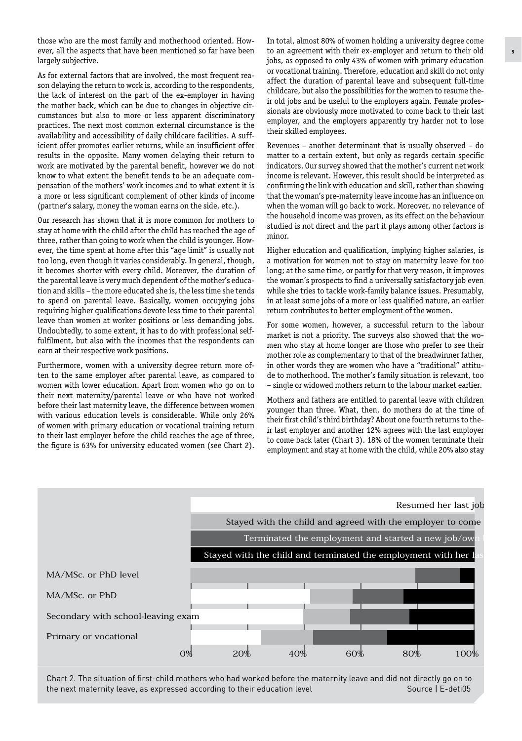those who are the most family and motherhood oriented. However, all the aspects that have been mentioned so far have been largely subjective.

As for external factors that are involved, the most frequent reason delaying the return to work is, according to the respondents, the lack of interest on the part of the ex-employer in having the mother back, which can be due to changes in objective circumstances but also to more or less apparent discriminatory practices. The next most common external circumstance is the availability and accessibility of daily childcare facilities. A sufficient offer promotes earlier returns, while an insufficient offer results in the opposite. Many women delaying their return to work are motivated by the parental benefit, however we do not know to what extent the benefit tends to be an adequate compensation of the mothers' work incomes and to what extent it is a more or less significant complement of other kinds of income (partner's salary, money the woman earns on the side, etc.).

Our research has shown that it is more common for mothers to stay at home with the child after the child has reached the age of three, rather than going to work when the child is younger. However, the time spent at home after this "age limit" is usually not too long, even though it varies considerably. In general, though, it becomes shorter with every child. Moreover, the duration of the parental leave is very much dependent of the mother's education and skills – the more educated she is, the less time she tends to spend on parental leave. Basically, women occupying jobs requiring higher qualifications devote less time to their parental leave than women at worker positions or less demanding jobs. Undoubtedly, to some extent, it has to do with professional selffulfilment, but also with the incomes that the respondents can earn at their respective work positions.

Furthermore, women with a university degree return more often to the same employer after parental leave, as compared to women with lower education. Apart from women who go on to their next maternity/parental leave or who have not worked before their last maternity leave, the difference between women with various education levels is considerable. While only 26% of women with primary education or vocational training return to their last employer before the child reaches the age of three, the figure is 63% for university educated women (see Chart 2). In total, almost 80% of women holding a university degree come to an agreement with their ex-employer and return to their old jobs, as opposed to only 43% of women with primary education or vocational training. Therefore, education and skill do not only affect the duration of parental leave and subsequent full-time childcare, but also the possibilities for the women to resume their old jobs and be useful to the employers again. Female professionals are obviously more motivated to come back to their last employer, and the employers apparently try harder not to lose their skilled employees.

Revenues – another determinant that is usually observed – do matter to a certain extent, but only as regards certain specific indicators. Our survey showed that the mother's current net work income is relevant. However, this result should be interpreted as confirming the link with education and skill, rather than showing that the woman's pre-maternity leave income has an influence on when the woman will go back to work. Moreover, no relevance of the household income was proven, as its effect on the behaviour studied is not direct and the part it plays among other factors is minor.

Higher education and qualification, implying higher salaries, is a motivation for women not to stay on maternity leave for too long; at the same time, or partly for that very reason, it improves the woman's prospects to find a universally satisfactory job even while she tries to tackle work-family balance issues. Presumably, in at least some jobs of a more or less qualified nature, an earlier return contributes to better employment of the women.

For some women, however, a successful return to the labour market is not a priority. The surveys also showed that the women who stay at home longer are those who prefer to see their mother role as complementary to that of the breadwinner father, in other words they are women who have a "traditional" attitude to motherhood. The mother's family situation is relevant, too – single or widowed mothers return to the labour market earlier.

Mothers and fathers are entitled to parental leave with children younger than three. What, then, do mothers do at the time of their first child's third birthday? About one fourth returns to their last employer and another 12% agrees with the last employer to come back later (Chart 3). 18% of the women terminate their employment and stay at home with the child, while 20% also stay



Chart 2. The situation of first-child mothers who had worked before the maternity leave and did not directly go on to the next maternity leave, as expressed according to their education level Source Source | E-deti05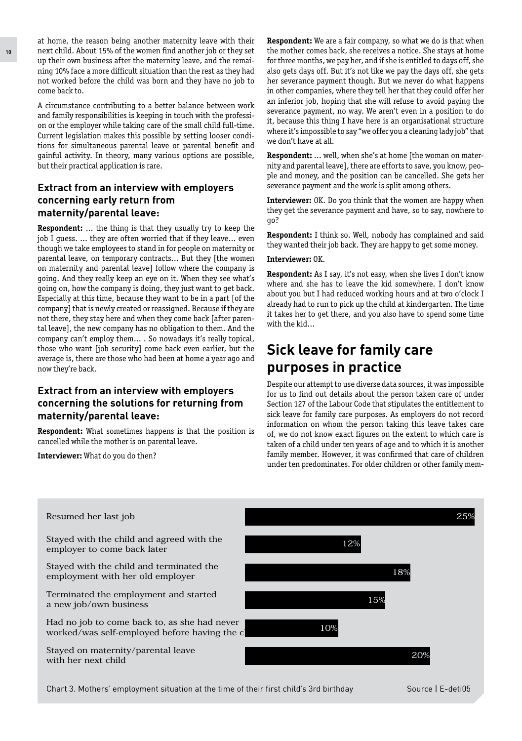at home, the reason being another maternity leave with their next child. About 15% of the women find another job or they set up their own business after the maternity leave, and the remaining 10% face a more difficult situation than the rest as they had not worked before the child was born and they have no job to come back to.

A circumstance contributing to a better balance between work and family responsibilities is keeping in touch with the profession or the employer while taking care of the small child full-time. Current legislation makes this possible by setting looser conditions for simultaneous parental leave or parental benefit and gainful activity. In theory, many various options are possible, but their practical application is rare.

#### **Extract from an interview with employers concerning early return from maternity/parental leave:**

**Respondent:** … the thing is that they usually try to keep the job I guess. ... they are often worried that if they leave... even though we take employees to stand in for people on maternity or parental leave, on temporary contracts... But they [the women on maternity and parental leave] follow where the company is going. And they really keep an eye on it. When they see what's going on, how the company is doing, they just want to get back. Especially at this time, because they want to be in a part [of the company] that is newly created or reassigned. Because if they are not there, they stay here and when they come back [after parental leave], the new company has no obligation to them. And the company can't employ them... . So nowadays it's really topical, those who want [job security] come back even earlier, but the average is, there are those who had been at home a year ago and now they're back.

#### **Extract from an interview with employers concerning the solutions for returning from maternity/parental leave:**

**Respondent:** What sometimes happens is that the position is cancelled while the mother is on parental leave.

**Interviewer:** What do you do then?

**Respondent:** We are a fair company, so what we do is that when the mother comes back, she receives a notice. She stays at home for three months, we pay her, and if she is entitled to days off, she also gets days off. But it's not like we pay the days off, she gets her severance payment though. But we never do what happens in other companies, where they tell her that they could offer her an inferior job, hoping that she will refuse to avoid paying the severance payment, no way. We aren't even in a position to do it, because this thing I have here is an organisational structure where it's impossible to say "we offer you a cleaning lady job" that we don't have at all.

**Respondent:** … well, when she's at home [the woman on maternity and parental leave], there are efforts to save, you know, people and money, and the position can be cancelled. She gets her severance payment and the work is split among others.

**Interviewer:** OK. Do you think that the women are happy when they get the severance payment and have, so to say, nowhere to go?

**Respondent:** I think so. Well, nobody has complained and said they wanted their job back. They are happy to get some money.

#### **Interviewer:** OK.

**Respondent:** As I say, it's not easy, when she lives I don't know where and she has to leave the kid somewhere. I don't know about you but I had reduced working hours and at two o'clock I already had to run to pick up the child at kindergarten. The time it takes her to get there, and you also have to spend some time with the kid...

## **Sick leave for family care purposes in practice**

Despite our attempt to use diverse data sources, it was impossible for us to find out details about the person taken care of under Section 127 of the Labour Code that stipulates the entitlement to sick leave for family care purposes. As employers do not record information on whom the person taking this leave takes care of, we do not know exact figures on the extent to which care is taken of a child under ten years of age and to which it is another family member. However, it was confirmed that care of children under ten predominates. For older children or other family mem-



Chart 3. Mothers' employment situation at the time of their first child's 3rd birthday Source | E-deti05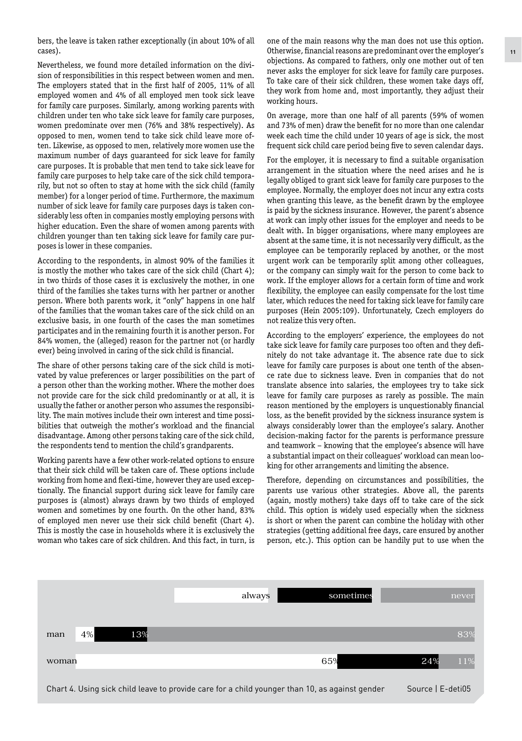bers, the leave is taken rather exceptionally (in about 10% of all cases).

Nevertheless, we found more detailed information on the division of responsibilities in this respect between women and men. The employers stated that in the first half of 2005, 11% of all employed women and 4% of all employed men took sick leave for family care purposes. Similarly, among working parents with children under ten who take sick leave for family care purposes, women predominate over men (76% and 38% respectively). As opposed to men, women tend to take sick child leave more often. Likewise, as opposed to men, relatively more women use the maximum number of days guaranteed for sick leave for family care purposes. It is probable that men tend to take sick leave for family care purposes to help take care of the sick child temporarily, but not so often to stay at home with the sick child (family member) for a longer period of time. Furthermore, the maximum number of sick leave for family care purposes days is taken considerably less often in companies mostly employing persons with higher education. Even the share of women among parents with children younger than ten taking sick leave for family care purposes is lower in these companies.

According to the respondents, in almost 90% of the families it is mostly the mother who takes care of the sick child (Chart 4); in two thirds of those cases it is exclusively the mother, in one third of the families she takes turns with her partner or another person. Where both parents work, it "only" happens in one half of the families that the woman takes care of the sick child on an exclusive basis, in one fourth of the cases the man sometimes participates and in the remaining fourth it is another person. For 84% women, the (alleged) reason for the partner not (or hardly ever) being involved in caring of the sick child is financial.

The share of other persons taking care of the sick child is motivated by value preferences or larger possibilities on the part of a person other than the working mother. Where the mother does not provide care for the sick child predominantly or at all, it is usually the father or another person who assumes the responsibility. The main motives include their own interest and time possibilities that outweigh the mother's workload and the financial disadvantage. Among other persons taking care of the sick child, the respondents tend to mention the child's grandparents.

Working parents have a few other work-related options to ensure that their sick child will be taken care of. These options include working from home and flexi-time, however they are used exceptionally. The financial support during sick leave for family care purposes is (almost) always drawn by two thirds of employed women and sometimes by one fourth. On the other hand, 83% of employed men never use their sick child benefit (Chart 4). This is mostly the case in households where it is exclusively the woman who takes care of sick children. And this fact, in turn, is one of the main reasons why the man does not use this option. Otherwise, financial reasons are predominant over the employer's objections. As compared to fathers, only one mother out of ten never asks the employer for sick leave for family care purposes. To take care of their sick children, these women take days off, they work from home and, most importantly, they adjust their working hours.

On average, more than one half of all parents (59% of women and 73% of men) draw the benefit for no more than one calendar week each time the child under 10 years of age is sick, the most frequent sick child care period being five to seven calendar days.

For the employer, it is necessary to find a suitable organisation arrangement in the situation where the need arises and he is legally obliged to grant sick leave for family care purposes to the employee. Normally, the employer does not incur any extra costs when granting this leave, as the benefit drawn by the employee is paid by the sickness insurance. However, the parent's absence at work can imply other issues for the employer and needs to be dealt with. In bigger organisations, where many employees are absent at the same time, it is not necessarily very difficult, as the employee can be temporarily replaced by another, or the most urgent work can be temporarily split among other colleagues, or the company can simply wait for the person to come back to work. If the employer allows for a certain form of time and work flexibility, the employee can easily compensate for the lost time later, which reduces the need for taking sick leave for family care purposes (Hein 2005:109). Unfortunately, Czech employers do not realize this very often.

According to the employers' experience, the employees do not take sick leave for family care purposes too often and they definitely do not take advantage it. The absence rate due to sick leave for family care purposes is about one tenth of the absence rate due to sickness leave. Even in companies that do not translate absence into salaries, the employees try to take sick leave for family care purposes as rarely as possible. The main reason mentioned by the employers is unquestionably financial loss, as the benefit provided by the sickness insurance system is always considerably lower than the employee's salary. Another decision-making factor for the parents is performance pressure and teamwork – knowing that the employee's absence will have a substantial impact on their colleagues' workload can mean looking for other arrangements and limiting the absence.

Therefore, depending on circumstances and possibilities, the parents use various other strategies. Above all, the parents (again, mostly mothers) take days off to take care of the sick child. This option is widely used especially when the sickness is short or when the parent can combine the holiday with other strategies (getting additional free days, care ensured by another person, etc.). This option can be handily put to use when the

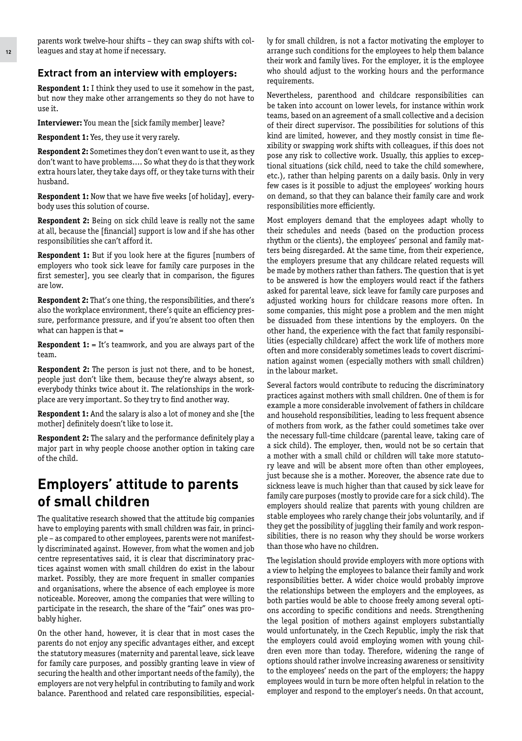parents work twelve-hour shifts – they can swap shifts with colleagues and stay at home if necessary.

#### **Extract from an interview with employers:**

**Respondent 1:** I think they used to use it somehow in the past, but now they make other arrangements so they do not have to use it.

**Interviewer:** You mean the [sick family member] leave?

**Respondent 1:** Yes, they use it very rarely.

**Respondent 2:** Sometimes they don't even want to use it, as they don't want to have problems.... So what they do is that they work extra hours later, they take days off, or they take turns with their husband.

**Respondent 1:** Now that we have five weeks [of holiday], everybody uses this solution of course.

**Respondent 2:** Being on sick child leave is really not the same at all, because the [financial] support is low and if she has other responsibilities she can't afford it.

**Respondent 1:** But if you look here at the figures [numbers of employers who took sick leave for family care purposes in the first semester], you see clearly that in comparison, the figures are low.

**Respondent 2:** That's one thing, the responsibilities, and there's also the workplace environment, there's quite an efficiency pressure, performance pressure, and if you're absent too often then what can happen is that =

**Respondent 1:** = It's teamwork, and you are always part of the team.

**Respondent 2:** The person is just not there, and to be honest, people just don't like them, because they're always absent, so everybody thinks twice about it. The relationships in the workplace are very important. So they try to find another way.

**Respondent 1:** And the salary is also a lot of money and she [the mother] definitely doesn't like to lose it.

**Respondent 2:** The salary and the performance definitely play a major part in why people choose another option in taking care of the child.

## **Employers' attitude to parents of small children**

The qualitative research showed that the attitude big companies have to employing parents with small children was fair, in principle – as compared to other employees, parents were not manifestly discriminated against. However, from what the women and job centre representatives said, it is clear that discriminatory practices against women with small children do exist in the labour market. Possibly, they are more frequent in smaller companies and organisations, where the absence of each employee is more noticeable. Moreover, among the companies that were willing to participate in the research, the share of the "fair" ones was probably higher.

On the other hand, however, it is clear that in most cases the parents do not enjoy any specific advantages either, and except the statutory measures (maternity and parental leave, sick leave for family care purposes, and possibly granting leave in view of securing the health and other important needs of the family), the employers are not very helpful in contributing to family and work balance. Parenthood and related care responsibilities, especially for small children, is not a factor motivating the employer to arrange such conditions for the employees to help them balance their work and family lives. For the employer, it is the employee who should adjust to the working hours and the performance requirements.

Nevertheless, parenthood and childcare responsibilities can be taken into account on lower levels, for instance within work teams, based on an agreement of a small collective and a decision of their direct supervisor. The possibilities for solutions of this kind are limited, however, and they mostly consist in time flexibility or swapping work shifts with colleagues, if this does not pose any risk to collective work. Usually, this applies to exceptional situations (sick child, need to take the child somewhere, etc.), rather than helping parents on a daily basis. Only in very few cases is it possible to adjust the employees' working hours on demand, so that they can balance their family care and work responsibilities more efficiently.

Most employers demand that the employees adapt wholly to their schedules and needs (based on the production process rhythm or the clients), the employees' personal and family matters being disregarded. At the same time, from their experience, the employers presume that any childcare related requests will be made by mothers rather than fathers. The question that is yet to be answered is how the employers would react if the fathers asked for parental leave, sick leave for family care purposes and adjusted working hours for childcare reasons more often. In some companies, this might pose a problem and the men might be dissuaded from these intentions by the employers. On the other hand, the experience with the fact that family responsibilities (especially childcare) affect the work life of mothers more often and more considerably sometimes leads to covert discrimination against women (especially mothers with small children) in the labour market.

Several factors would contribute to reducing the discriminatory practices against mothers with small children. One of them is for example a more considerable involvement of fathers in childcare and household responsibilities, leading to less frequent absence of mothers from work, as the father could sometimes take over the necessary full-time childcare (parental leave, taking care of a sick child). The employer, then, would not be so certain that a mother with a small child or children will take more statutory leave and will be absent more often than other employees, just because she is a mother. Moreover, the absence rate due to sickness leave is much higher than that caused by sick leave for family care purposes (mostly to provide care for a sick child). The employers should realize that parents with young children are stable employees who rarely change their jobs voluntarily, and if they get the possibility of juggling their family and work responsibilities, there is no reason why they should be worse workers than those who have no children.

The legislation should provide employers with more options with a view to helping the employees to balance their family and work responsibilities better. A wider choice would probably improve the relationships between the employers and the employees, as both parties would be able to choose freely among several options according to specific conditions and needs. Strengthening the legal position of mothers against employers substantially would unfortunately, in the Czech Republic, imply the risk that the employers could avoid employing women with young children even more than today. Therefore, widening the range of options should rather involve increasing awareness or sensitivity to the employees' needs on the part of the employers; the happy employees would in turn be more often helpful in relation to the employer and respond to the employer's needs. On that account,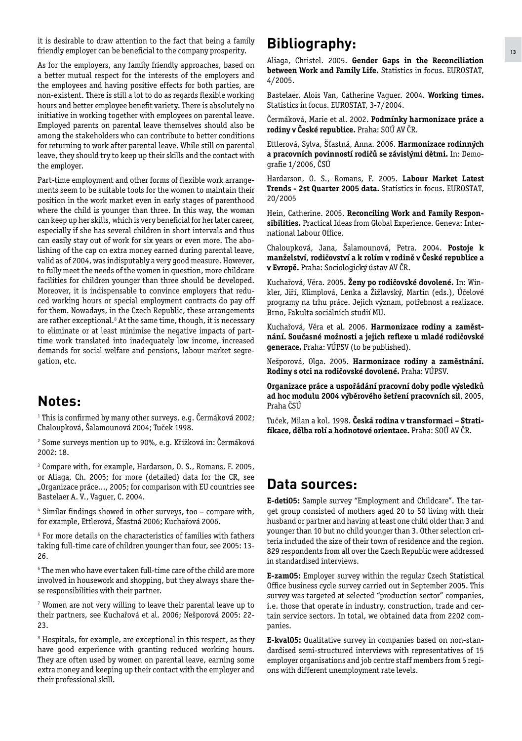it is desirable to draw attention to the fact that being a family friendly employer can be beneficial to the company prosperity.

As for the employers, any family friendly approaches, based on a better mutual respect for the interests of the employers and the employees and having positive effects for both parties, are non-existent. There is still a lot to do as regards flexible working hours and better employee benefit variety. There is absolutely no initiative in working together with employees on parental leave. Employed parents on parental leave themselves should also be among the stakeholders who can contribute to better conditions for returning to work after parental leave. While still on parental leave, they should try to keep up their skills and the contact with the employer.

Part-time employment and other forms of flexible work arrangements seem to be suitable tools for the women to maintain their position in the work market even in early stages of parenthood where the child is younger than three. In this way, the woman can keep up her skills, which is very beneficial for her later career, especially if she has several children in short intervals and thus can easily stay out of work for six years or even more. The abolishing of the cap on extra money earned during parental leave, valid as of 2004, was indisputably a very good measure. However, to fully meet the needs of the women in question, more childcare facilities for children younger than three should be developed. Moreover, it is indispensable to convince employers that reduced working hours or special employment contracts do pay off for them. Nowadays, in the Czech Republic, these arrangements are rather exceptional.<sup>8</sup> At the same time, though, it is necessary to eliminate or at least minimise the negative impacts of parttime work translated into inadequately low income, increased demands for social welfare and pensions, labour market segregation, etc.

## **Notes:**

**1** This is confirmed by many other surveys, e.g. Čermáková 2002; Chaloupková, Šalamounová 2004; Tuček 1998.

**2** Some surveys mention up to 90%, e.g. Křížková in: Čermáková 2002: 18.

**3** Compare with, for example, Hardarson, O. S., Romans, F. 2005, or Aliaga, Ch. 2005; for more (detailed) data for the CR, see "Organizace práce…, 2005; for comparison with EU countries see Bastelaer A. V., Vaguer, C. 2004.

**4** Similar findings showed in other surveys, too – compare with, for example, Ettlerová, Šťastná 2006; Kuchařová 2006.

**5** For more details on the characteristics of families with fathers taking full-time care of children younger than four, see 2005: 13- 26.

**6** The men who have ever taken full-time care of the child are more involved in housework and shopping, but they always share these responsibilities with their partner.

**7** Women are not very willing to leave their parental leave up to their partners, see Kuchařová et al. 2006; Nešporová 2005: 22- 23.

**8** Hospitals, for example, are exceptional in this respect, as they have good experience with granting reduced working hours. They are often used by women on parental leave, earning some extra money and keeping up their contact with the employer and their professional skill.

## **Bibliography:**

Aliaga, Christel. 2005. **Gender Gaps in the Reconciliation between Work and Family Life.** Statistics in focus. EUROSTAT, 4/2005.

Bastelaer, Alois Van, Catherine Vaguer. 2004. **Working times.** Statistics in focus. EUROSTAT, 3-7/2004.

Čermáková, Marie et al. 2002. **Podmínky harmonizace práce a rodiny v České republice.** Praha: SOÚ AV ČR.

Ettlerová, Sylva, Šťastná, Anna. 2006. **Harmonizace rodinných a pracovních povinností rodičů se závislými dětmi.** In: Demografie 1/2006, ČSÚ

Hardarson, O. S., Romans, F. 2005. **Labour Market Latest Trends - 2st Quarter 2005 data.** Statistics in focus. EUROSTAT, 20/2005

Hein, Catherine. 2005. **Reconciling Work and Family Responsibilities.** Practical Ideas from Global Experience. Geneva: International Labour Office.

Chaloupková, Jana, Šalamounová, Petra. 2004. **Postoje k manželství, rodičovství a k rolím v rodině v České republice a v Evropě.** Praha: Sociologický ústav AV ČR.

Kuchařová, Věra. 2005. **Ženy po rodičovské dovolené.** In: Winkler, Jiří, Klimplová, Lenka a Žižlavský, Martin (eds.), Účelové programy na trhu práce. Jejich význam, potřebnost a realizace. Brno, Fakulta sociálních studií MU.

Kuchařová, Věra et al. 2006. **Harmonizace rodiny a zaměstnání. Současné možnosti a jejich reflexe u mladé rodičovské generace.** Praha: VÚPSV (to be published).

Nešporová, Olga. 2005. **Harmonizace rodiny a zaměstnání. Rodiny s otci na rodičovské dovolené.** Praha: VÚPSV.

**Organizace práce a uspořádání pracovní doby podle výsledků ad hoc modulu 2004 výběrového šetření pracovních sil**, 2005, Praha ČSÚ

Tuček, Milan a kol. 1998. **Česká rodina v transformaci – Stratifikace, dělba rolí a hodnotové orientace.** Praha: SOÚ AV ČR.

### **Data sources:**

**E-deti05:** Sample survey "Employment and Childcare". The target group consisted of mothers aged 20 to 50 living with their husband or partner and having at least one child older than 3 and younger than 10 but no child younger than 3. Other selection criteria included the size of their town of residence and the region. 829 respondents from all over the Czech Republic were addressed in standardised interviews.

**E-zam05:** Employer survey within the regular Czech Statistical Office business cycle survey carried out in September 2005. This survey was targeted at selected "production sector" companies, i.e. those that operate in industry, construction, trade and certain service sectors. In total, we obtained data from 2202 companies.

**E-kval05:** Qualitative survey in companies based on non-standardised semi-structured interviews with representatives of 15 employer organisations and job centre staff members from 5 regions with different unemployment rate levels.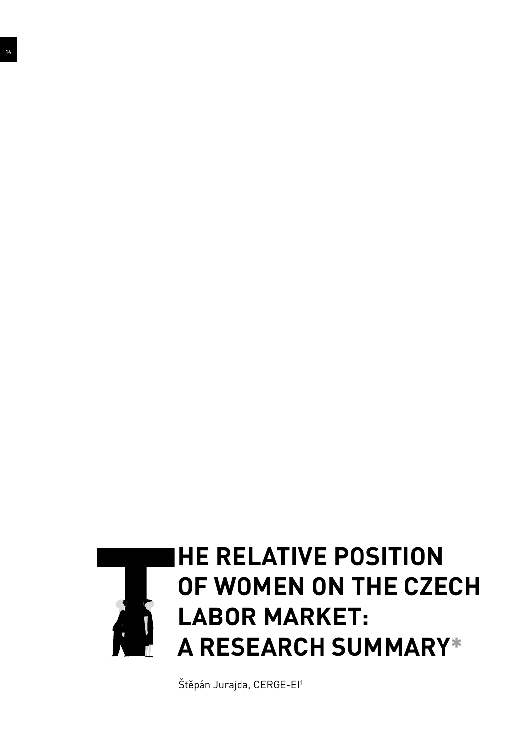

Štěpán Jurajda, CERGE-EI**1**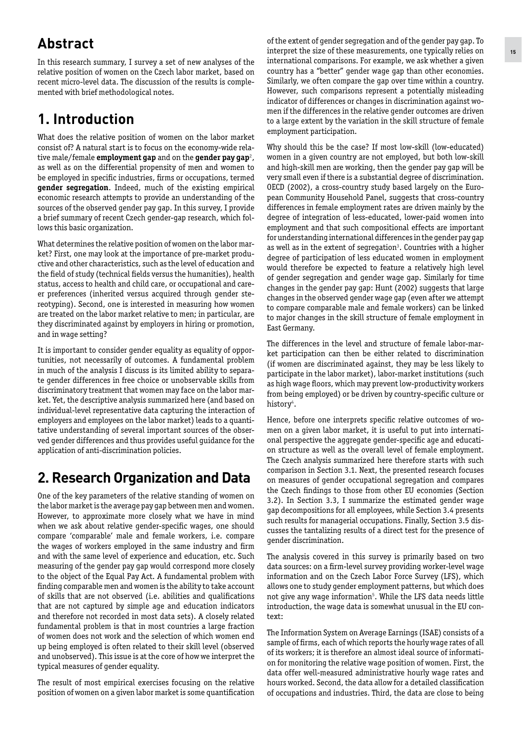## **Abstract**

In this research summary, I survey a set of new analyses of the relative position of women on the Czech labor market, based on recent micro-level data. The discussion of the results is complemented with brief methodological notes.

## **1. Introduction**

What does the relative position of women on the labor market consist of? A natural start is to focus on the economy-wide relative male/female **employment gap** and on the **gender pay gap**<sup>2</sup>, as well as on the differential propensity of men and women to be employed in specific industries, firms or occupations, termed **gender segregation**. Indeed, much of the existing empirical economic research attempts to provide an understanding of the sources of the observed gender pay gap. In this survey, I provide a brief summary of recent Czech gender-gap research, which follows this basic organization.

What determines the relative position of women on the labor market? First, one may look at the importance of pre-market productive and other characteristics, such as the level of education and the field of study (technical fields versus the humanities), health status, access to health and child care, or occupational and career preferences (inherited versus acquired through gender stereotyping). Second, one is interested in measuring how women are treated on the labor market relative to men; in particular, are they discriminated against by employers in hiring or promotion, and in wage setting?

It is important to consider gender equality as equality of opportunities, not necessarily of outcomes. A fundamental problem in much of the analysis I discuss is its limited ability to separate gender differences in free choice or unobservable skills from discriminatory treatment that women may face on the labor market. Yet, the descriptive analysis summarized here (and based on individual-level representative data capturing the interaction of employers and employees on the labor market) leads to a quantitative understanding of several important sources of the observed gender differences and thus provides useful guidance for the application of anti-discrimination policies.

## **2. Research Organization and Data**

One of the key parameters of the relative standing of women on the labor market is the average pay gap between men and women. However, to approximate more closely what we have in mind when we ask about relative gender-specific wages, one should compare 'comparable' male and female workers, i.e. compare the wages of workers employed in the same industry and firm and with the same level of experience and education, etc. Such measuring of the gender pay gap would correspond more closely to the object of the Equal Pay Act. A fundamental problem with finding comparable men and women is the ability to take account of skills that are not observed (i.e. abilities and qualifications that are not captured by simple age and education indicators and therefore not recorded in most data sets). A closely related fundamental problem is that in most countries a large fraction of women does not work and the selection of which women end up being employed is often related to their skill level (observed and unobserved). This issue is at the core of how we interpret the typical measures of gender equality.

The result of most empirical exercises focusing on the relative The result of most empirical exercises focusing on the relative hours worked. Second, the data allow for a detailed classification<br>position of women on a given labor market is some quantification of occupations and industr

of the extent of gender segregation and of the gender pay gap. To interpret the size of these measurements, one typically relies on international comparisons. For example, we ask whether a given country has a "better" gender wage gap than other economies. Similarly, we often compare the gap over time within a country. However, such comparisons represent a potentially misleading indicator of differences or changes in discrimination against women if the differences in the relative gender outcomes are driven to a large extent by the variation in the skill structure of female employment participation.

Why should this be the case? If most low-skill (low-educated) women in a given country are not employed, but both low-skill and high-skill men are working, then the gender pay gap will be very small even if there is a substantial degree of discrimination. OECD (2002), a cross-country study based largely on the European Community Household Panel, suggests that cross-country differences in female employment rates are driven mainly by the degree of integration of less-educated, lower-paid women into employment and that such compositional effects are important for understanding international differences in the gender pay gap as well as in the extent of segregation**<sup>3</sup>** . Countries with a higher degree of participation of less educated women in employment would therefore be expected to feature a relatively high level of gender segregation and gender wage gap. Similarly for time changes in the gender pay gap: Hunt (2002) suggests that large changes in the observed gender wage gap (even after we attempt to compare comparable male and female workers) can be linked to major changes in the skill structure of female employment in East Germany.

The differences in the level and structure of female labor-market participation can then be either related to discrimination (if women are discriminated against, they may be less likely to participate in the labor market), labor-market institutions (such as high wage floors, which may prevent low-productivity workers from being employed) or be driven by country-specific culture or history<sup>4</sup>.

Hence, before one interprets specific relative outcomes of women on a given labor market, it is useful to put into international perspective the aggregate gender-specific age and education structure as well as the overall level of female employment. The Czech analysis summarized here therefore starts with such comparison in Section 3.1. Next, the presented research focuses on measures of gender occupational segregation and compares the Czech findings to those from other EU economies (Section 3.2). In Section 3.3, I summarize the estimated gender wage gap decompositions for all employees, while Section 3.4 presents such results for managerial occupations. Finally, Section 3.5 discusses the tantalizing results of a direct test for the presence of gender discrimination.

The analysis covered in this survey is primarily based on two data sources: on a firm-level survey providing worker-level wage information and on the Czech Labor Force Survey (LFS), which allows one to study gender employment patterns, but which does not give any wage information**<sup>5</sup>** . While the LFS data needs little introduction, the wage data is somewhat unusual in the EU context:

The Information System on Average Earnings (ISAE) consists of a sample of firms, each of which reports the hourly wage rates of all of its workers; it is therefore an almost ideal source of information for monitoring the relative wage position of women. First, the data offer well-measured administrative hourly wage rates and hours worked. Second, the data allow for a detailed classification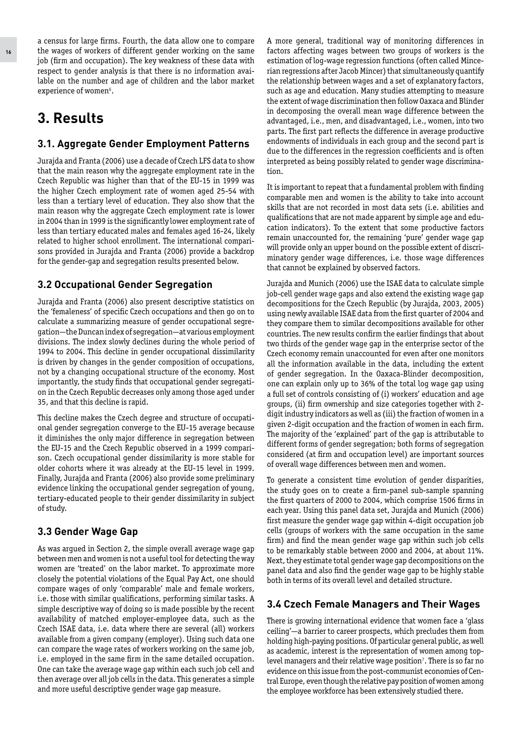a census for large firms. Fourth, the data allow one to compare the wages of workers of different gender working on the same job (firm and occupation). The key weakness of these data with respect to gender analysis is that there is no information available on the number and age of children and the labor market experience of women**<sup>6</sup>** .

## **3. Results**

#### **3.1. Aggregate Gender Employment Patterns**

Jurajda and Franta (2006) use a decade of Czech LFS data to show that the main reason why the aggregate employment rate in the Czech Republic was higher than that of the EU-15 in 1999 was the higher Czech employment rate of women aged 25-54 with less than a tertiary level of education. They also show that the main reason why the aggregate Czech employment rate is lower in 2004 than in 1999 is the significantly lower employment rate of less than tertiary educated males and females aged 16-24, likely related to higher school enrollment. The international comparisons provided in Jurajda and Franta (2006) provide a backdrop for the gender-gap and segregation results presented below.

#### **3.2 Occupational Gender Segregation**

Jurajda and Franta (2006) also present descriptive statistics on the 'femaleness' of specific Czech occupations and then go on to calculate a summarizing measure of gender occupational segregation—the Duncan index of segregation—at various employment divisions. The index slowly declines during the whole period of 1994 to 2004. This decline in gender occupational dissimilarity is driven by changes in the gender composition of occupations, not by a changing occupational structure of the economy. Most importantly, the study finds that occupational gender segregation in the Czech Republic decreases only among those aged under 35, and that this decline is rapid.

This decline makes the Czech degree and structure of occupational gender segregation converge to the EU-15 average because it diminishes the only major difference in segregation between the EU-15 and the Czech Republic observed in a 1999 comparison. Czech occupational gender dissimilarity is more stable for older cohorts where it was already at the EU-15 level in 1999. Finally, Jurajda and Franta (2006) also provide some preliminary evidence linking the occupational gender segregation of young, tertiary-educated people to their gender dissimilarity in subject of study.

#### **3.3 Gender Wage Gap**

As was argued in Section 2, the simple overall average wage gap between men and women is not a useful tool for detecting the way women are 'treated' on the labor market. To approximate more closely the potential violations of the Equal Pay Act, one should compare wages of only 'comparable' male and female workers, i.e. those with similar qualifications, performing similar tasks. A simple descriptive way of doing so is made possible by the recent availability of matched employer-employee data, such as the Czech ISAE data, i.e. data where there are several (all) workers available from a given company (employer). Using such data one can compare the wage rates of workers working on the same job, i.e. employed in the same firm in the same detailed occupation. One can take the average wage gap within each such job cell and then average over all job cells in the data. This generates a simple and more useful descriptive gender wage gap measure.

A more general, traditional way of monitoring differences in factors affecting wages between two groups of workers is the estimation of log-wage regression functions (often called Mincerian regressions after Jacob Mincer) that simultaneously quantify the relationship between wages and a set of explanatory factors, such as age and education. Many studies attempting to measure the extent of wage discrimination then follow Oaxaca and Blinder in decomposing the overall mean wage difference between the advantaged, i.e., men, and disadvantaged, i.e., women, into two parts. The first part reflects the difference in average productive endowments of individuals in each group and the second part is due to the differences in the regression coefficients and is often interpreted as being possibly related to gender wage discrimination.

It is important to repeat that a fundamental problem with finding comparable men and women is the ability to take into account skills that are not recorded in most data sets (i.e. abilities and qualifications that are not made apparent by simple age and education indicators). To the extent that some productive factors remain unaccounted for, the remaining 'pure' gender wage gap will provide only an upper bound on the possible extent of discriminatory gender wage differences, i.e. those wage differences that cannot be explained by observed factors.

Jurajda and Munich (2006) use the ISAE data to calculate simple job-cell gender wage gaps and also extend the existing wage gap decompositions for the Czech Republic (by Jurajda, 2003, 2005) using newly available ISAE data from the first quarter of 2004 and they compare them to similar decompositions available for other countries. The new results confirm the earlier findings that about two thirds of the gender wage gap in the enterprise sector of the Czech economy remain unaccounted for even after one monitors all the information available in the data, including the extent of gender segregation. In the Oaxaca-Blinder decomposition, one can explain only up to 36% of the total log wage gap using a full set of controls consisting of (i) workers' education and age groups, (ii) firm ownership and size categories together with 2 digit industry indicators as well as (iii) the fraction of women in a given 2-digit occupation and the fraction of women in each firm. The majority of the 'explained' part of the gap is attributable to different forms of gender segregation; both forms of segregation considered (at firm and occupation level) are important sources of overall wage differences between men and women.

To generate a consistent time evolution of gender disparities, the study goes on to create a firm-panel sub-sample spanning the first quarters of 2000 to 2004, which comprise 1506 firms in each year. Using this panel data set, Jurajda and Munich (2006) first measure the gender wage gap within 4-digit occupation job cells (groups of workers with the same occupation in the same firm) and find the mean gender wage gap within such job cells to be remarkably stable between 2000 and 2004, at about 11%. Next, they estimate total gender wage gap decompositions on the panel data and also find the gender wage gap to be highly stable both in terms of its overall level and detailed structure.

#### **3.4 Czech Female Managers and Their Wages**

There is growing international evidence that women face a 'glass ceiling'—a barrier to career prospects, which precludes them from holding high-paying positions. Of particular general public, as well as academic, interest is the representation of women among toplevel managers and their relative wage position**<sup>7</sup>** . There is so far no evidence on this issue from the post-communist economies of Central Europe, even though the relative pay position of women among the employee workforce has been extensively studied there.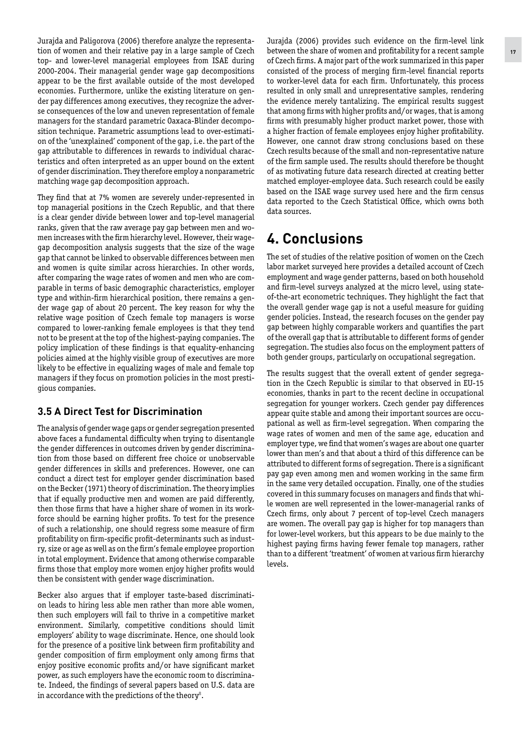Jurajda and Paligorova (2006) therefore analyze the representation of women and their relative pay in a large sample of Czech top- and lower-level managerial employees from ISAE during 2000-2004. Their managerial gender wage gap decompositions appear to be the first available outside of the most developed economies. Furthermore, unlike the existing literature on gender pay differences among executives, they recognize the adverse consequences of the low and uneven representation of female managers for the standard parametric Oaxaca-Blinder decomposition technique. Parametric assumptions lead to over-estimation of the 'unexplained' component of the gap, i.e. the part of the gap attributable to differences in rewards to individual characteristics and often interpreted as an upper bound on the extent of gender discrimination. They therefore employ a nonparametric matching wage gap decomposition approach.

They find that at 7% women are severely under-represented in top managerial positions in the Czech Republic, and that there is a clear gender divide between lower and top-level managerial ranks, given that the raw average pay gap between men and women increases with the firm hierarchy level. However, their wagegap decomposition analysis suggests that the size of the wage gap that cannot be linked to observable differences between men and women is quite similar across hierarchies. In other words, after comparing the wage rates of women and men who are comparable in terms of basic demographic characteristics, employer type and within-firm hierarchical position, there remains a gender wage gap of about 20 percent. The key reason for why the relative wage position of Czech female top managers is worse compared to lower-ranking female employees is that they tend not to be present at the top of the highest-paying companies. The policy implication of these findings is that equality-enhancing policies aimed at the highly visible group of executives are more likely to be effective in equalizing wages of male and female top managers if they focus on promotion policies in the most prestigious companies.

#### **3.5 A Direct Test for Discrimination**

The analysis of gender wage gaps or gender segregation presented above faces a fundamental difficulty when trying to disentangle the gender differences in outcomes driven by gender discrimination from those based on different free choice or unobservable gender differences in skills and preferences. However, one can conduct a direct test for employer gender discrimination based on the Becker (1971) theory of discrimination. The theory implies that if equally productive men and women are paid differently, then those firms that have a higher share of women in its workforce should be earning higher profits. To test for the presence of such a relationship, one should regress some measure of firm profitability on firm-specific profit-determinants such as industry, size or age as well as on the firm's female employee proportion in total employment. Evidence that among otherwise comparable firms those that employ more women enjoy higher profits would then be consistent with gender wage discrimination.

Becker also argues that if employer taste-based discrimination leads to hiring less able men rather than more able women, then such employers will fail to thrive in a competitive market environment. Similarly, competitive conditions should limit employers' ability to wage discriminate. Hence, one should look for the presence of a positive link between firm profitability and gender composition of firm employment only among firms that enjoy positive economic profits and/or have significant market power, as such employers have the economic room to discriminate. Indeed, the findings of several papers based on U.S. data are in accordance with the predictions of the theory**<sup>8</sup>** .

Jurajda (2006) provides such evidence on the firm-level link between the share of women and profitability for a recent sample of Czech firms. A major part of the work summarized in this paper consisted of the process of merging firm-level financial reports to worker-level data for each firm. Unfortunately, this process resulted in only small and unrepresentative samples, rendering the evidence merely tantalizing. The empirical results suggest that among firms with higher profits and/or wages, that is among firms with presumably higher product market power, those with a higher fraction of female employees enjoy higher profitability. However, one cannot draw strong conclusions based on these Czech results because of the small and non-representative nature of the firm sample used. The results should therefore be thought of as motivating future data research directed at creating better matched employer-employee data. Such research could be easily based on the ISAE wage survey used here and the firm census data reported to the Czech Statistical Office, which owns both data sources.

## **4. Conclusions**

The set of studies of the relative position of women on the Czech labor market surveyed here provides a detailed account of Czech employment and wage gender patterns, based on both household and firm-level surveys analyzed at the micro level, using stateof-the-art econometric techniques. They highlight the fact that the overall gender wage gap is not a useful measure for guiding gender policies. Instead, the research focuses on the gender pay gap between highly comparable workers and quantifies the part of the overall gap that is attributable to different forms of gender segregation. The studies also focus on the employment patters of both gender groups, particularly on occupational segregation.

The results suggest that the overall extent of gender segregation in the Czech Republic is similar to that observed in EU-15 economies, thanks in part to the recent decline in occupational segregation for younger workers. Czech gender pay differences appear quite stable and among their important sources are occupational as well as firm-level segregation. When comparing the wage rates of women and men of the same age, education and employer type, we find that women's wages are about one quarter lower than men's and that about a third of this difference can be attributed to different forms of segregation. There is a significant pay gap even among men and women working in the same firm in the same very detailed occupation. Finally, one of the studies covered in this summary focuses on managers and finds that while women are well represented in the lower-managerial ranks of Czech firms, only about 7 percent of top-level Czech managers are women. The overall pay gap is higher for top managers than for lower-level workers, but this appears to be due mainly to the highest paying firms having fewer female top managers, rather than to a different 'treatment' of women at various firm hierarchy levels.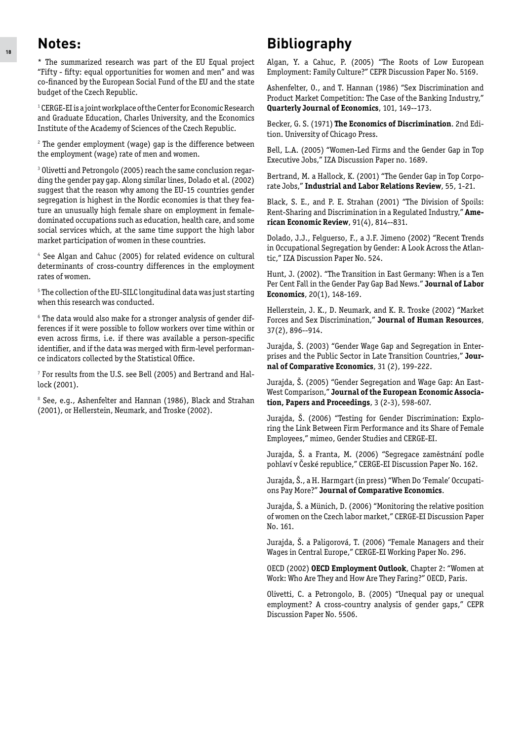#### **Notes:**

\* The summarized research was part of the EU Equal project "Fifty - fifty: equal opportunities for women and men" and was co-financed by the European Social Fund of the EU and the state budget of the Czech Republic.

**1** CERGE-EI is a joint workplace of the Center for Economic Research and Graduate Education, Charles University, and the Economics Institute of the Academy of Sciences of the Czech Republic.

**2** The gender employment (wage) gap is the difference between the employment (wage) rate of men and women.

**3** Olivetti and Petrongolo (2005) reach the same conclusion regarding the gender pay gap. Along similar lines, Dolado et al. (2002) suggest that the reason why among the EU-15 countries gender segregation is highest in the Nordic economies is that they feature an unusually high female share on employment in femaledominated occupations such as education, health care, and some social services which, at the same time support the high labor market participation of women in these countries.

**4** See Algan and Cahuc (2005) for related evidence on cultural determinants of cross-country differences in the employment rates of women.

**5** The collection of the EU-SILC longitudinal data was just starting when this research was conducted.

**6** The data would also make for a stronger analysis of gender differences if it were possible to follow workers over time within or even across firms, i.e. if there was available a person-specific identifier, and if the data was merged with firm-level performance indicators collected by the Statistical Office.

**7** For results from the U.S. see Bell (2005) and Bertrand and Hallock (2001).

**8** See, e.g., Ashenfelter and Hannan (1986), Black and Strahan (2001), or Hellerstein, Neumark, and Troske (2002).

## **Bibliography**

Algan, Y. a Cahuc, P. (2005) "The Roots of Low European Employment: Family Culture?" CEPR Discussion Paper No. 5169.

Ashenfelter, O., and T. Hannan (1986) "Sex Discrimination and Product Market Competition: The Case of the Banking Industry," **Quarterly Journal of Economics**, 101, 149--173.

Becker, G. S. (1971) **The Economics of Discrimination**. 2nd Edition. University of Chicago Press.

Bell, L.A. (2005) "Women-Led Firms and the Gender Gap in Top Executive Jobs," IZA Discussion Paper no. 1689.

Bertrand, M. a Hallock, K. (2001) "The Gender Gap in Top Corporate Jobs," **Industrial and Labor Relations Review**, 55, 1-21.

Black, S. E., and P. E. Strahan (2001) "The Division of Spoils: Rent-Sharing and Discrimination in a Regulated Industry," **American Economic Review**, 91(4), 814--831.

Dolado, J.J., Felguerso, F., a J.F. Jimeno (2002) "Recent Trends in Occupational Segregation by Gender: A Look Across the Atlantic," IZA Discussion Paper No. 524.

Hunt, J. (2002). "The Transition in East Germany: When is a Ten Per Cent Fall in the Gender Pay Gap Bad News." **Journal of Labor Economics**, 20(1), 148-169.

Hellerstein, J. K., D. Neumark, and K. R. Troske (2002) "Market Forces and Sex Discrimination," **Journal of Human Resources**, 37(2), 896--914.

Jurajda, Š. (2003) "Gender Wage Gap and Segregation in Enterprises and the Public Sector in Late Transition Countries," **Journal of Comparative Economics**, 31 (2), 199-222.

Jurajda, Š. (2005) "Gender Segregation and Wage Gap: An East-West Comparison," **Journal of the European Economic Association, Papers and Proceedings**, 3 (2-3), 598-607.

Jurajda, Š. (2006) "Testing for Gender Discrimination: Exploring the Link Between Firm Performance and its Share of Female Employees," mimeo, Gender Studies and CERGE-EI.

Jurajda, Š. a Franta, M. (2006) "Segregace zaměstnání podle pohlaví v České republice," CERGE-EI Discussion Paper No. 162.

Jurajda, Š., a H. Harmgart (in press) "When Do 'Female' Occupations Pay More?" **Journal of Comparative Economics**.

Jurajda, Š. a Münich, D. (2006) "Monitoring the relative position of women on the Czech labor market," CERGE-EI Discussion Paper No. 161.

Jurajda, Š. a Paligorová, T. (2006) "Female Managers and their Wages in Central Europe," CERGE-EI Working Paper No. 296.

OECD (2002) **OECD Employment Outlook**, Chapter 2: "Women at Work: Who Are They and How Are They Faring?" OECD, Paris.

Olivetti, C. a Petrongolo, B. (2005) "Unequal pay or unequal employment? A cross-country analysis of gender gaps," CEPR Discussion Paper No. 5506.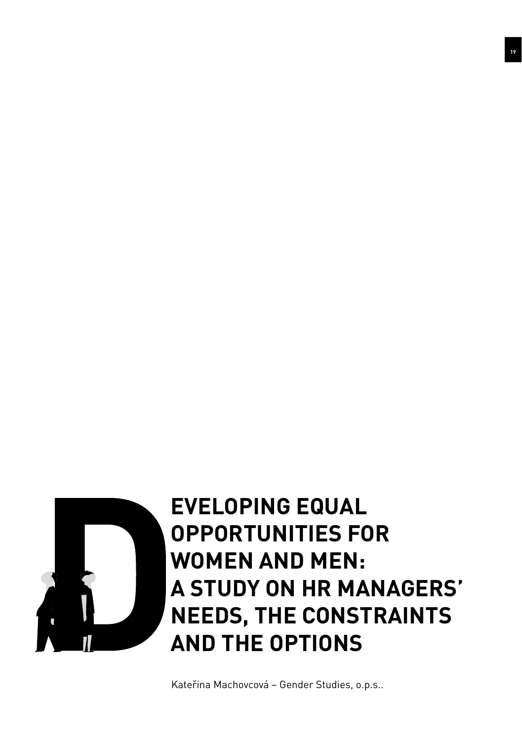

## **eveloping Equal Opportunities for Women and Men: A Study on HR Managers' Needs, the Constraints and the Options**

Kateřina Machovcová – Gender Studies, o.p.s..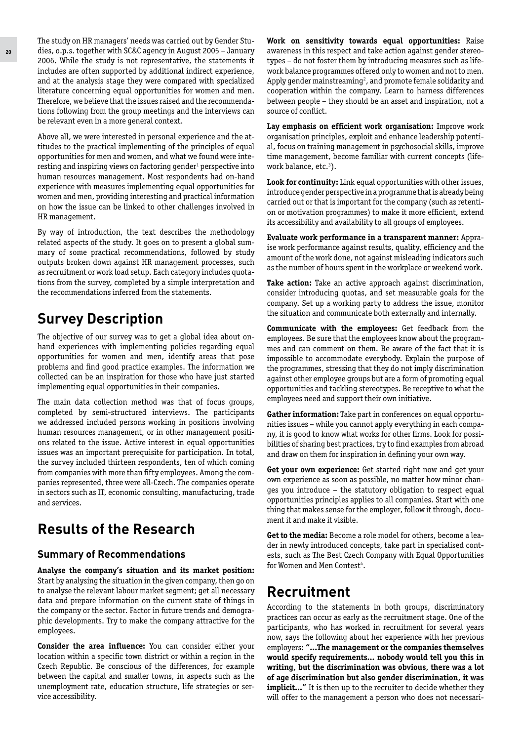The study on HR managers' needs was carried out by Gender Studies, o.p.s. together with SC&C agency in August 2005 – January 2006. While the study is not representative, the statements it includes are often supported by additional indirect experience, and at the analysis stage they were compared with specialized literature concerning equal opportunities for women and men. Therefore, we believe that the issues raised and the recommendations following from the group meetings and the interviews can be relevant even in a more general context.

Above all, we were interested in personal experience and the attitudes to the practical implementing of the principles of equal opportunities for men and women, and what we found were interesting and inspiring views on factoring gender**<sup>1</sup>** perspective into human resources management. Most respondents had on-hand experience with measures implementing equal opportunities for women and men, providing interesting and practical information on how the issue can be linked to other challenges involved in HR management.

By way of introduction, the text describes the methodology related aspects of the study. It goes on to present a global summary of some practical recommendations, followed by study outputs broken down against HR management processes, such as recruitment or work load setup. Each category includes quotations from the survey, completed by a simple interpretation and the recommendations inferred from the statements.

## **Survey Description**

The objective of our survey was to get a global idea about onhand experiences with implementing policies regarding equal opportunities for women and men, identify areas that pose problems and find good practice examples. The information we collected can be an inspiration for those who have just started implementing equal opportunities in their companies.

The main data collection method was that of focus groups, completed by semi-structured interviews. The participants we addressed included persons working in positions involving human resources management, or in other management positions related to the issue. Active interest in equal opportunities issues was an important prerequisite for participation. In total, the survey included thirteen respondents, ten of which coming from companies with more than fifty employees. Among the companies represented, three were all-Czech. The companies operate in sectors such as IT, economic consulting, manufacturing, trade and services.

## **Results of the Research**

#### **Summary of Recommendations**

**Analyse the company's situation and its market position:** Start by analysing the situation in the given company, then go on to analyse the relevant labour market segment; get all necessary data and prepare information on the current state of things in the company or the sector. Factor in future trends and demographic developments. Try to make the company attractive for the employees.

**Consider the area influence:** You can consider either your location within a specific town district or within a region in the Czech Republic. Be conscious of the differences, for example between the capital and smaller towns, in aspects such as the unemployment rate, education structure, life strategies or service accessibility.

**Work on sensitivity towards equal opportunities:** Raise awareness in this respect and take action against gender stereotypes – do not foster them by introducing measures such as lifework balance programmes offered only to women and not to men. Apply gender mainstreaming**<sup>2</sup>** , and promote female solidarity and cooperation within the company. Learn to harness differences between people – they should be an asset and inspiration, not a source of conflict.

**Lay emphasis on efficient work organisation:** Improve work organisation principles, exploit and enhance leadership potential, focus on training management in psychosocial skills, improve time management, become familiar with current concepts (lifework balance, etc.**<sup>3</sup>** ).

**Look for continuity:** Link equal opportunities with other issues, introduce gender perspective in a programme that is already being carried out or that is important for the company (such as retention or motivation programmes) to make it more efficient, extend its accessibility and availability to all groups of employees.

**Evaluate work performance in a transparent manner:** Appraise work performance against results, quality, efficiency and the amount of the work done, not against misleading indicators such as the number of hours spent in the workplace or weekend work.

**Take action:** Take an active approach against discrimination, consider introducing quotas, and set measurable goals for the company. Set up a working party to address the issue, monitor the situation and communicate both externally and internally.

**Communicate with the employees:** Get feedback from the employees. Be sure that the employees know about the programmes and can comment on them. Be aware of the fact that it is impossible to accommodate everybody. Explain the purpose of the programmes, stressing that they do not imply discrimination against other employee groups but are a form of promoting equal opportunities and tackling stereotypes. Be receptive to what the employees need and support their own initiative.

**Gather information:** Take part in conferences on equal opportunities issues – while you cannot apply everything in each company, it is good to know what works for other firms. Look for possibilities of sharing best practices, try to find examples from abroad and draw on them for inspiration in defining your own way.

**Get your own experience:** Get started right now and get your own experience as soon as possible, no matter how minor changes you introduce – the statutory obligation to respect equal opportunities principles applies to all companies. Start with one thing that makes sense for the employer, follow it through, document it and make it visible.

**Get to the media:** Become a role model for others, become a leader in newly introduced concepts, take part in specialised contests, such as The Best Czech Company with Equal Opportunities for Women and Men Contest**<sup>4</sup>** .

## **Recruitment**

According to the statements in both groups, discriminatory practices can occur as early as the recruitment stage. One of the participants, who has worked in recruitment for several years now, says the following about her experience with her previous employers: **"...The management or the companies themselves would specify requirements... nobody would tell you this in writing, but the discrimination was obvious, there was a lot of age discrimination but also gender discrimination, it was**  implicit..." It is then up to the recruiter to decide whether they will offer to the management a person who does not necessari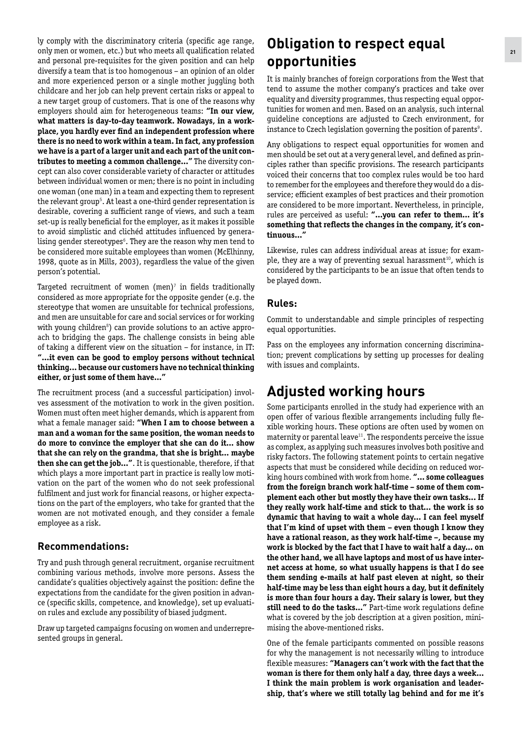ly comply with the discriminatory criteria (specific age range, only men or women, etc.) but who meets all qualification related and personal pre-requisites for the given position and can help diversify a team that is too homogenous – an opinion of an older and more experienced person or a single mother juggling both childcare and her job can help prevent certain risks or appeal to a new target group of customers. That is one of the reasons why employers should aim for heterogeneous teams: **"In our view, what matters is day-to-day teamwork. Nowadays, in a workplace, you hardly ever find an independent profession where there is no need to work within a team. In fact, any profession we have is a part of a larger unit and each part of the unit contributes to meeting a common challenge..."** The diversity concept can also cover considerable variety of character or attitudes between individual women or men; there is no point in including one woman (one man) in a team and expecting them to represent the relevant group**<sup>5</sup>** . At least a one-third gender representation is desirable, covering a sufficient range of views, and such a team set-up is really beneficial for the employer, as it makes it possible to avoid simplistic and clichéd attitudes influenced by generalising gender stereotypes**<sup>6</sup>** . They are the reason why men tend to be considered more suitable employees than women (McElhinny, 1998, quote as in Mills, 2003), regardless the value of the given person's potential.

Targeted recruitment of women (men)**<sup>7</sup>** in fields traditionally considered as more appropriate for the opposite gender (e.g. the stereotype that women are unsuitable for technical professions, and men are unsuitable for care and social services or for working with young children**<sup>8</sup>** ) can provide solutions to an active approach to bridging the gaps. The challenge consists in being able of taking a different view on the situation – for instance, in IT: **"...it even can be good to employ persons without technical thinking... because our customers have no technical thinking either, or just some of them have..."**

The recruitment process (and a successful participation) involves assessment of the motivation to work in the given position. Women must often meet higher demands, which is apparent from what a female manager said: **"When I am to choose between a man and a woman for the same position, the woman needs to do more to convince the employer that she can do it... show that she can rely on the grandma, that she is bright... maybe then she can get the job..."**. It is questionable, therefore, if that which plays a more important part in practice is really low motivation on the part of the women who do not seek professional fulfilment and just work for financial reasons, or higher expectations on the part of the employers, who take for granted that the women are not motivated enough, and they consider a female employee as a risk.

#### **Recommendations:**

Try and push through general recruitment, organise recruitment combining various methods, involve more persons. Assess the candidate's qualities objectively against the position: define the expectations from the candidate for the given position in advance (specific skills, competence, and knowledge), set up evaluation rules and exclude any possibility of biased judgment.

Draw up targeted campaigns focusing on women and underrepresented groups in general.

## **Obligation to respect equal opportunities**

It is mainly branches of foreign corporations from the West that tend to assume the mother company's practices and take over equality and diversity programmes, thus respecting equal opportunities for women and men. Based on an analysis, such internal guideline conceptions are adjusted to Czech environment, for instance to Czech legislation governing the position of parents**<sup>9</sup>** .

Any obligations to respect equal opportunities for women and men should be set out at a very general level, and defined as principles rather than specific provisions. The research participants voiced their concerns that too complex rules would be too hard to remember for the employees and therefore they would do a disservice; efficient examples of best practices and their promotion are considered to be more important. Nevertheless, in principle, rules are perceived as useful: **"...you can refer to them... it's something that reflects the changes in the company, it's continuous..."**

Likewise, rules can address individual areas at issue; for example, they are a way of preventing sexual harassment**<sup>10</sup>**, which is considered by the participants to be an issue that often tends to be played down.

#### **Rules:**

Commit to understandable and simple principles of respecting equal opportunities.

Pass on the employees any information concerning discrimination; prevent complications by setting up processes for dealing with issues and complaints.

## **Adjusted working hours**

Some participants enrolled in the study had experience with an open offer of various flexible arrangements including fully flexible working hours. These options are often used by women on maternity or parental leave**<sup>11</sup>**. The respondents perceive the issue as complex, as applying such measures involves both positive and risky factors. The following statement points to certain negative aspects that must be considered while deciding on reduced working hours combined with work from home. **"... some colleagues from the foreign branch work half-time – some of them complement each other but mostly they have their own tasks... If they really work half-time and stick to that... the work is so dynamic that having to wait a whole day... I can feel myself that I'm kind of upset with them – even though I know they have a rational reason, as they work half-time –, because my work is blocked by the fact that I have to wait half a day... on the other hand, we all have laptops and most of us have internet access at home, so what usually happens is that I do see them sending e-mails at half past eleven at night, so their half-time may be less than eight hours a day, but it definitely is more than four hours a day. Their salary is lower, but they still need to do the tasks..."** Part-time work regulations define what is covered by the job description at a given position, minimising the above-mentioned risks.

One of the female participants commented on possible reasons for why the management is not necessarily willing to introduce flexible measures: **"Managers can't work with the fact that the woman is there for them only half a day, three days a week... I think the main problem is work organisation and leadership, that's where we still totally lag behind and for me it's**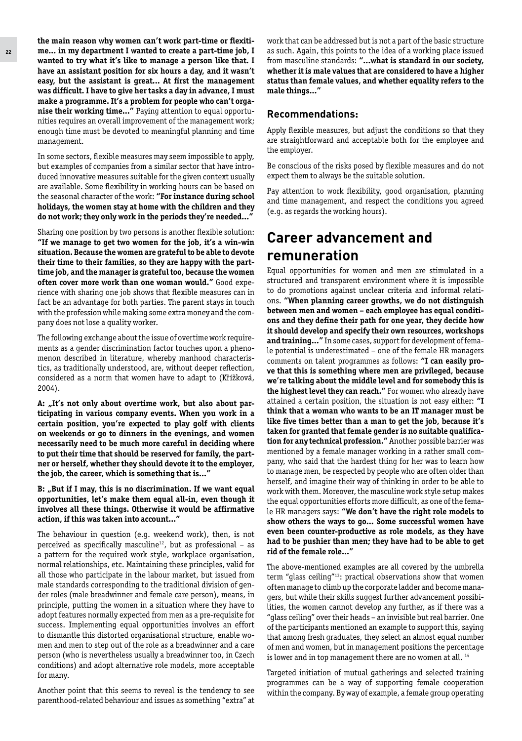**the main reason why women can't work part-time or flexitime... in my department I wanted to create a part-time job, I wanted to try what it's like to manage a person like that. I have an assistant position for six hours a day, and it wasn't easy, but the assistant is great... At first the management was difficult. I have to give her tasks a day in advance, I must make a programme. It's a problem for people who can't organise their working time..."** Paying attention to equal opportunities requires an overall improvement of the management work; enough time must be devoted to meaningful planning and time management.

In some sectors, flexible measures may seem impossible to apply, but examples of companies from a similar sector that have introduced innovative measures suitable for the given context usually are available. Some flexibility in working hours can be based on the seasonal character of the work: **"For instance during school holidays, the women stay at home with the children and they do not work; they only work in the periods they're needed..."**

Sharing one position by two persons is another flexible solution: **"If we manage to get two women for the job, it's a win-win situation. Because the women are grateful to be able to devote their time to their families, so they are happy with the parttime job, and the manager is grateful too, because the women often cover more work than one woman would."** Good experience with sharing one job shows that flexible measures can in fact be an advantage for both parties. The parent stays in touch with the profession while making some extra money and the company does not lose a quality worker.

The following exchange about the issue of overtime work requirements as a gender discrimination factor touches upon a phenomenon described in literature, whereby manhood characteristics, as traditionally understood, are, without deeper reflection, considered as a norm that women have to adapt to (Křížková, 2004).

A: "It's not only about overtime work, but also about par**ticipating in various company events. When you work in a certain position, you're expected to play golf with clients on weekends or go to dinners in the evenings, and women necessarily need to be much more careful in deciding where to put their time that should be reserved for family, the partner or herself, whether they should devote it to the employer, the job, the career, which is something that is..."**

B: "But if I may, this is no discrimination. If we want equal **opportunities, let's make them equal all-in, even though it involves all these things. Otherwise it would be affirmative action, if this was taken into account..."** 

The behaviour in question (e.g. weekend work), then, is not perceived as specifically masculine**<sup>12</sup>**, but as professional – as a pattern for the required work style, workplace organisation, normal relationships, etc. Maintaining these principles, valid for all those who participate in the labour market, but issued from male standards corresponding to the traditional division of gender roles (male breadwinner and female care person), means, in principle, putting the women in a situation where they have to adopt features normally expected from men as a pre-requisite for success. Implementing equal opportunities involves an effort to dismantle this distorted organisational structure, enable women and men to step out of the role as a breadwinner and a care person (who is nevertheless usually a breadwinner too, in Czech conditions) and adopt alternative role models, more acceptable for many.

Another point that this seems to reveal is the tendency to see parenthood-related behaviour and issues as something "extra" at work that can be addressed but is not a part of the basic structure as such. Again, this points to the idea of a working place issued from masculine standards: **"...what is standard in our society, whether it is male values that are considered to have a higher status than female values, and whether equality refers to the male things..."**

#### **Recommendations:**

Apply flexible measures, but adjust the conditions so that they are straightforward and acceptable both for the employee and the employer.

Be conscious of the risks posed by flexible measures and do not expect them to always be the suitable solution.

Pay attention to work flexibility, good organisation, planning and time management, and respect the conditions you agreed (e.g. as regards the working hours).

### **Career advancement and remuneration**

Equal opportunities for women and men are stimulated in a structured and transparent environment where it is impossible to do promotions against unclear criteria and informal relations. **"When planning career growths, we do not distinguish between men and women – each employee has equal conditions and they define their path for one year, they decide how it should develop and specify their own resources, workshops and training..."** In some cases, support for development of female potential is underestimated – one of the female HR managers comments on talent programmes as follows: **"I can easily prove that this is something where men are privileged, because we're talking about the middle level and for somebody this is the highest level they can reach."** For women who already have attained a certain position, the situation is not easy either: **"I think that a woman who wants to be an IT manager must be like five times better than a man to get the job, because it's taken for granted that female gender is no suitable qualification for any technical profession."** Another possible barrier was mentioned by a female manager working in a rather small company, who said that the hardest thing for her was to learn how to manage men, be respected by people who are often older than herself, and imagine their way of thinking in order to be able to work with them. Moreover, the masculine work style setup makes the equal opportunities efforts more difficult, as one of the female HR managers says: **"We don't have the right role models to show others the ways to go... Some successful women have even been counter-productive as role models, as they have had to be pushier than men; they have had to be able to get rid of the female role..."**

The above-mentioned examples are all covered by the umbrella term "glass ceiling"**<sup>13</sup>**: practical observations show that women often manage to climb up the corporate ladder and become managers, but while their skills suggest further advancement possibilities, the women cannot develop any further, as if there was a "glass ceiling" over their heads – an invisible but real barrier. One of the participants mentioned an example to support this, saying that among fresh graduates, they select an almost equal number of men and women, but in management positions the percentage is lower and in top management there are no women at all. **<sup>14</sup>**

Targeted initiation of mutual gatherings and selected training programmes can be a way of supporting female cooperation within the company. By way of example, a female group operating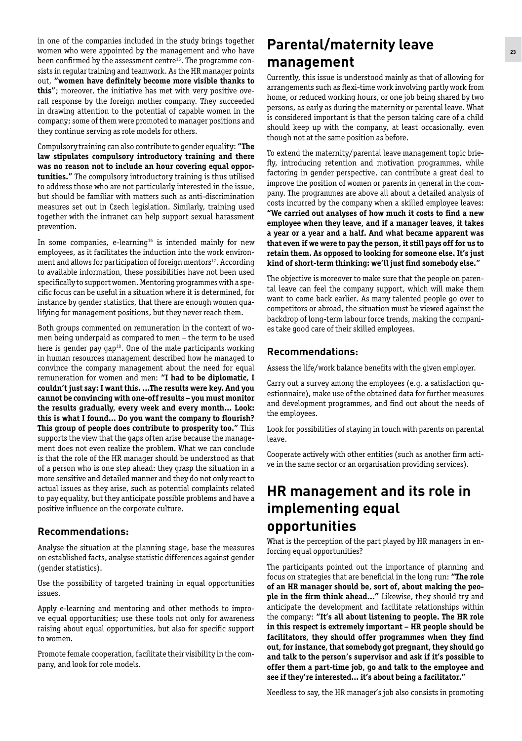in one of the companies included in the study brings together women who were appointed by the management and who have been confirmed by the assessment centre**15**. The programme consists in regular training and teamwork. As the HR manager points out, **"women have definitely become more visible thanks to this"**; moreover, the initiative has met with very positive overall response by the foreign mother company. They succeeded in drawing attention to the potential of capable women in the company; some of them were promoted to manager positions and they continue serving as role models for others.

Compulsory training can also contribute to gender equality: **"The law stipulates compulsory introductory training and there was no reason not to include an hour covering equal opportunities."** The compulsory introductory training is thus utilised to address those who are not particularly interested in the issue, but should be familiar with matters such as anti-discrimination measures set out in Czech legislation. Similarly, training used together with the intranet can help support sexual harassment prevention.

In some companies, e-learning**<sup>16</sup>** is intended mainly for new employees, as it facilitates the induction into the work environment and allows for participation of foreign mentors**<sup>17</sup>**. According to available information, these possibilities have not been used specifically to support women. Mentoring programmes with a specific focus can be useful in a situation where it is determined, for instance by gender statistics, that there are enough women qualifying for management positions, but they never reach them.

Both groups commented on remuneration in the context of women being underpaid as compared to men – the term to be used here is gender pay gap**<sup>18</sup>**. One of the male participants working in human resources management described how he managed to convince the company management about the need for equal remuneration for women and men: **"I had to be diplomatic, I couldn't just say: I want this. ...The results were key. And you cannot be convincing with one-off results – you must monitor the results gradually, every week and every month... Look: this is what I found... Do you want the company to flourish? This group of people does contribute to prosperity too."** This supports the view that the gaps often arise because the management does not even realize the problem. What we can conclude is that the role of the HR manager should be understood as that of a person who is one step ahead: they grasp the situation in a more sensitive and detailed manner and they do not only react to actual issues as they arise, such as potential complaints related to pay equality, but they anticipate possible problems and have a positive influence on the corporate culture.

#### **Recommendations:**

Analyse the situation at the planning stage, base the measures on established facts, analyse statistic differences against gender (gender statistics).

Use the possibility of targeted training in equal opportunities issues.

Apply e-learning and mentoring and other methods to improve equal opportunities; use these tools not only for awareness raising about equal opportunities, but also for specific support to women.

Promote female cooperation, facilitate their visibility in the company, and look for role models.

## **Parental/maternity leave management**

Currently, this issue is understood mainly as that of allowing for arrangements such as flexi-time work involving partly work from home, or reduced working hours, or one job being shared by two persons, as early as during the maternity or parental leave. What is considered important is that the person taking care of a child should keep up with the company, at least occasionally, even though not at the same position as before.

To extend the maternity/parental leave management topic briefly, introducing retention and motivation programmes, while factoring in gender perspective, can contribute a great deal to improve the position of women or parents in general in the company. The programmes are above all about a detailed analysis of costs incurred by the company when a skilled employee leaves: **"We carried out analyses of how much it costs to find a new employee when they leave, and if a manager leaves, it takes a year or a year and a half. And what became apparent was that even if we were to pay the person, it still pays off for us to retain them. As opposed to looking for someone else. It's just kind of short-term thinking: we'll just find somebody else."**

The objective is moreover to make sure that the people on parental leave can feel the company support, which will make them want to come back earlier. As many talented people go over to competitors or abroad, the situation must be viewed against the backdrop of long-term labour force trends, making the companies take good care of their skilled employees.

#### **Recommendations:**

Assess the life/work balance benefits with the given employer.

Carry out a survey among the employees (e.g. a satisfaction questionnaire), make use of the obtained data for further measures and development programmes, and find out about the needs of the employees.

Look for possibilities of staying in touch with parents on parental leave.

Cooperate actively with other entities (such as another firm active in the same sector or an organisation providing services).

## **HR management and its role in implementing equal opportunities**

What is the perception of the part played by HR managers in enforcing equal opportunities?

The participants pointed out the importance of planning and focus on strategies that are beneficial in the long run: **"The role of an HR manager should be, sort of, about making the people in the firm think ahead..."** Likewise, they should try and anticipate the development and facilitate relationships within the company: **"It's all about listening to people. The HR role in this respect is extremely important – HR people should be facilitators, they should offer programmes when they find out, for instance, that somebody got pregnant, they should go and talk to the person's supervisor and ask if it's possible to offer them a part-time job, go and talk to the employee and see if they're interested... it's about being a facilitator."**

Needless to say, the HR manager's job also consists in promoting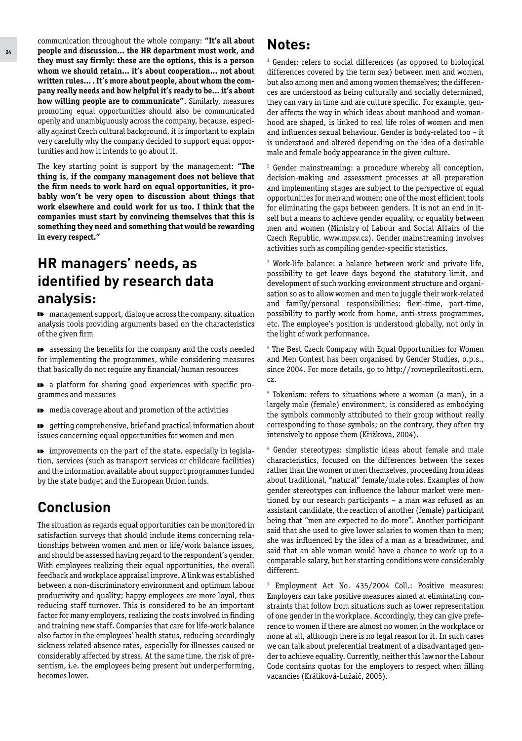communication throughout the whole company: **"It's all about people and discussion... the HR department must work, and they must say firmly: these are the options, this is a person whom we should retain... it's about cooperation... not about written rules... . It's more about people, about whom the company really needs and how helpful it's ready to be... it's about how willing people are to communicate"**. Similarly, measures promoting equal opportunities should also be communicated openly and unambiguously across the company, because, especially against Czech cultural background, it is important to explain very carefully why the company decided to support equal opportunities and how it intends to go about it.

The key starting point is support by the management: **"The thing is, if the company management does not believe that the firm needs to work hard on equal opportunities, it probably won't be very open to discussion about things that work elsewhere and could work for us too. I think that the companies must start by convincing themselves that this is something they need and something that would be rewarding in every respect."**

## **HR managers' needs, as identified by research data analysis:**

 $\blacksquare$  management support, dialogue across the company, situation analysis tools providing arguments based on the characteristics of the given firm

**D** assessing the benefits for the company and the costs needed for implementing the programmes, while considering measures that basically do not require any financial/human resources

a platform for sharing good experiences with specific programmes and measures

 $\blacksquare$  media coverage about and promotion of the activities

getting comprehensive, brief and practical information about **ID** issues concerning equal opportunities for women and men

improvements on the part of the state, especially in legislation, services (such as transport services or childcare facilities) and the information available about support programmes funded by the state budget and the European Union funds.

## **Conclusion**

The situation as regards equal opportunities can be monitored in satisfaction surveys that should include items concerning relationships between women and men or life/work balance issues, and should be assessed having regard to the respondent's gender. With employees realizing their equal opportunities, the overall feedback and workplace appraisal improve. A link was established between a non-discriminatory environment and optimum labour productivity and quality; happy employees are more loyal, thus reducing staff turnover. This is considered to be an important factor for many employers, realizing the costs involved in finding and training new staff. Companies that care for life-work balance also factor in the employees' health status, reducing accordingly sickness related absence rates, especially for illnesses caused or considerably affected by stress. At the same time, the risk of presentism, i.e. the employees being present but underperforming, becomes lower.

#### **Notes:**

**1** Gender: refers to social differences (as opposed to biological differences covered by the term sex) between men and women, but also among men and among women themselves; the differences are understood as being culturally and socially determined, they can vary in time and are culture specific. For example, gender affects the way in which ideas about manhood and womanhood are shaped, is linked to real life roles of women and men and influences sexual behaviour. Gender is body-related too – it is understood and altered depending on the idea of a desirable male and female body appearance in the given culture.

**2** Gender mainstreaming: a procedure whereby all conception, decision-making and assessment processes at all preparation and implementing stages are subject to the perspective of equal opportunities for men and women; one of the most efficient tools for eliminating the gaps between genders. It is not an end in itself but a means to achieve gender equality, or equality between men and women (Ministry of Labour and Social Affairs of the Czech Republic, www.mpsv.cz). Gender mainstreaming involves activities such as compiling gender-specific statistics.

**3** Work-life balance: a balance between work and private life, possibility to get leave days beyond the statutory limit, and development of such working environment structure and organisation so as to allow women and men to juggle their work-related and family/personal responsibilities: flexi-time, part-time, possibility to partly work from home, anti-stress programmes, etc. The employee's position is understood globally, not only in the light of work performance.

**4** The Best Czech Company with Equal Opportunities for Women and Men Contest has been organised by Gender Studies, o.p.s., since 2004. For more details, go to http://rovneprilezitosti.ecn. cz.

**5** Tokenism: refers to situations where a woman (a man), in a largely male (female) environment, is considered as embodying the symbols commonly attributed to their group without really corresponding to those symbols; on the contrary, they often try intensively to oppose them (Křížková, 2004).

**6** Gender stereotypes: simplistic ideas about female and male characteristics, focused on the differences between the sexes rather than the women or men themselves, proceeding from ideas about traditional, "natural" female/male roles. Examples of how gender stereotypes can influence the labour market were mentioned by our research participants – a man was refused as an assistant candidate, the reaction of another (female) participant being that "men are expected to do more". Another participant said that she used to give lower salaries to women than to men; she was influenced by the idea of a man as a breadwinner, and said that an able woman would have a chance to work up to a comparable salary, but her starting conditions were considerably different.

**7** Employment Act No. 435/2004 Coll.: Positive measures: Employers can take positive measures aimed at eliminating constraints that follow from situations such as lower representation of one gender in the workplace. Accordingly, they can give preference to women if there are almost no women in the workplace or none at all, although there is no legal reason for it. In such cases we can talk about preferential treatment of a disadvantaged gender to achieve equality. Currently, neither this law nor the Labour Code contains quotas for the employers to respect when filling vacancies (Králíková-Lužaič, 2005).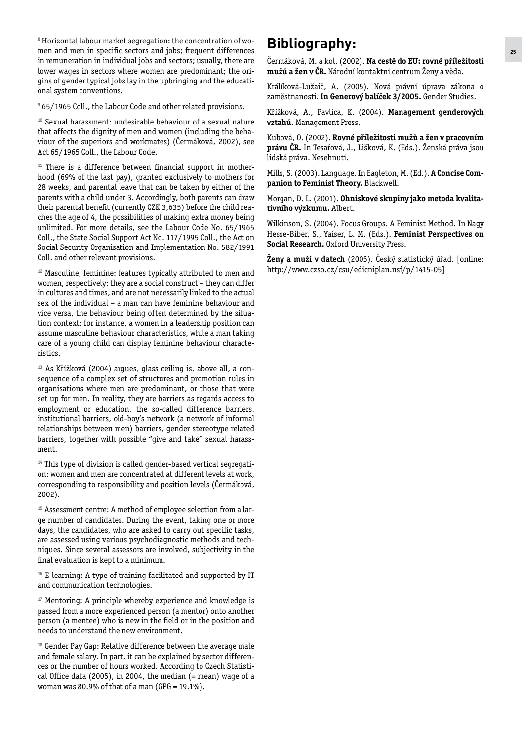**8** Horizontal labour market segregation: the concentration of women and men in specific sectors and jobs; frequent differences in remuneration in individual jobs and sectors; usually, there are lower wages in sectors where women are predominant; the origins of gender typical jobs lay in the upbringing and the educational system conventions.

**9** 65/1965 Coll., the Labour Code and other related provisions.

**<sup>10</sup>** Sexual harassment: undesirable behaviour of a sexual nature that affects the dignity of men and women (including the behaviour of the superiors and workmates) (Čermáková, 2002), see Act 65/1965 Coll., the Labour Code.

**11** There is a difference between financial support in motherhood (69% of the last pay), granted exclusively to mothers for 28 weeks, and parental leave that can be taken by either of the parents with a child under 3. Accordingly, both parents can draw their parental benefit (currently CZK 3,635) before the child reaches the age of 4, the possibilities of making extra money being unlimited. For more details, see the Labour Code No. 65/1965 Coll., the State Social Support Act No. 117/1995 Coll., the Act on Social Security Organisation and Implementation No. 582/1991 Coll. and other relevant provisions.

**<sup>12</sup>** Masculine, feminine: features typically attributed to men and women, respectively; they are a social construct – they can differ in cultures and times, and are not necessarily linked to the actual sex of the individual – a man can have feminine behaviour and vice versa, the behaviour being often determined by the situation context: for instance, a women in a leadership position can assume masculine behaviour characteristics, while a man taking care of a young child can display feminine behaviour characteristics.

**13** As Křížková (2004) argues, glass ceiling is, above all, a consequence of a complex set of structures and promotion rules in organisations where men are predominant, or those that were set up for men. In reality, they are barriers as regards access to employment or education, the so-called difference barriers, institutional barriers, old-boy's network (a network of informal relationships between men) barriers, gender stereotype related barriers, together with possible "give and take" sexual harassment.

<sup>14</sup> This type of division is called gender-based vertical segregation: women and men are concentrated at different levels at work, corresponding to responsibility and position levels (Čermáková, 2002).

**15** Assessment centre: A method of employee selection from a large number of candidates. During the event, taking one or more days, the candidates, who are asked to carry out specific tasks, are assessed using various psychodiagnostic methods and techniques. Since several assessors are involved, subjectivity in the final evaluation is kept to a minimum.

**<sup>16</sup>** E-learning: A type of training facilitated and supported by IT and communication technologies.

**<sup>17</sup>** Mentoring: A principle whereby experience and knowledge is passed from a more experienced person (a mentor) onto another person (a mentee) who is new in the field or in the position and needs to understand the new environment.

**<sup>18</sup>** Gender Pay Gap: Relative difference between the average male and female salary. In part, it can be explained by sector differences or the number of hours worked. According to Czech Statistical Office data (2005), in 2004, the median  $(=$  mean) wage of a woman was 80.9% of that of a man (GPG = 19.1%).

## **Bibliography:**

Čermáková, M. a kol. (2002). **Na cestě do EU: rovné příležitosti mužů a žen v ČR.** Národní kontaktní centrum Ženy a věda.

Králíková-Lužaič, A. (2005). Nová právní úprava zákona o zaměstnanosti. **In Generový balíček 3/2005.** Gender Studies.

Křížková, A., Pavlica, K. (2004). **Management genderových vztahů.** Management Press.

Kubová, O. (2002). **Rovné příležitosti mužů a žen v pracovním právu ČR.** In Tesařová, J., Lišková, K. (Eds.). Ženská práva jsou lidská práva. Nesehnutí.

Mills, S. (2003). Language. In Eagleton, M. (Ed.). **A Concise Companion to Feminist Theory.** Blackwell.

Morgan, D. L. (2001). **Ohniskové skupiny jako metoda kvalitativního výzkumu.** Albert.

Wilkinson, S. (2004). Focus Groups. A Feminist Method. In Nagy Hesse-Biber, S., Yaiser, L. M. (Eds.). **Feminist Perspectives on Social Research.** Oxford University Press.

**Ženy a muži v datech** (2005). Český statistický úřad. [online: http://www.czso.cz/csu/edicniplan.nsf/p/1415-05]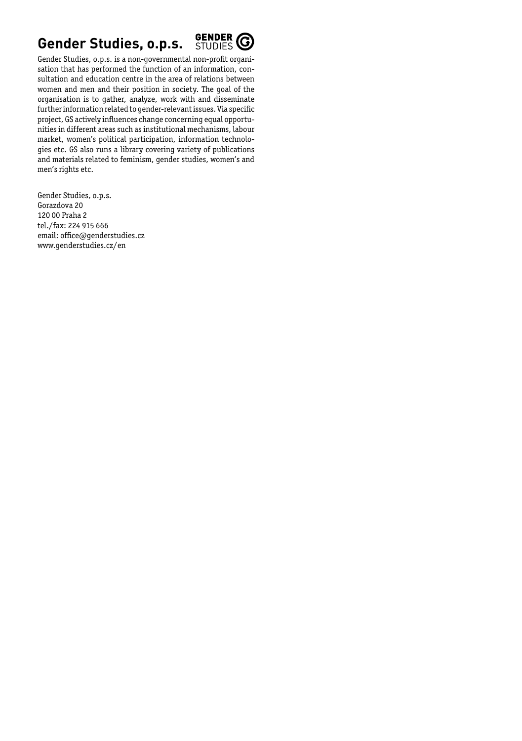## **Gender Studies, o.p.s.**



Gender Studies, o.p.s. is a non-governmental non-profit organisation that has performed the function of an information, consultation and education centre in the area of relations between women and men and their position in society. The goal of the organisation is to gather, analyze, work with and disseminate further information related to gender-relevant issues. Via specific project, GS actively influences change concerning equal opportunities in different areas such as institutional mechanisms, labour market, women's political participation, information technologies etc. GS also runs a library covering variety of publications and materials related to feminism, gender studies, women's and men's rights etc.

Gender Studies, o.p.s. Gorazdova 20 120 00 Praha 2 tel./fax: 224 915 666 email: office@genderstudies.cz www.genderstudies.cz/en